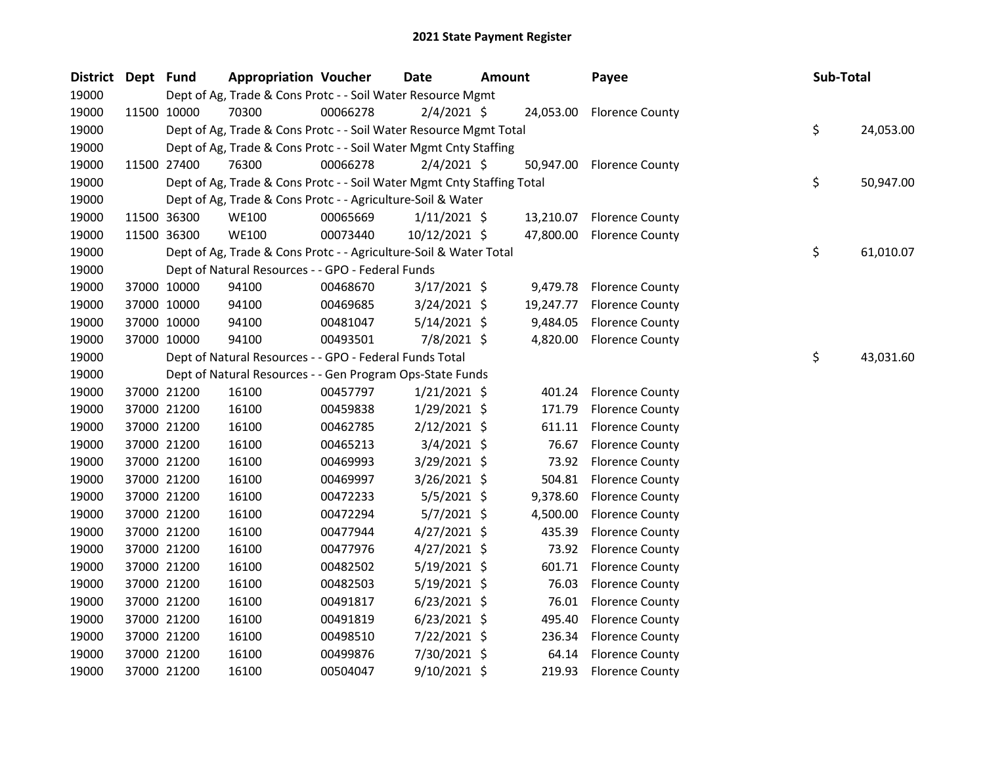| <b>District</b> | Dept Fund |             | <b>Appropriation Voucher</b>                                           |          | Date           | <b>Amount</b> |           | Payee                     | Sub-Total |           |
|-----------------|-----------|-------------|------------------------------------------------------------------------|----------|----------------|---------------|-----------|---------------------------|-----------|-----------|
| 19000           |           |             | Dept of Ag, Trade & Cons Protc - - Soil Water Resource Mgmt            |          |                |               |           |                           |           |           |
| 19000           |           | 11500 10000 | 70300                                                                  | 00066278 | $2/4/2021$ \$  |               |           | 24,053.00 Florence County |           |           |
| 19000           |           |             | Dept of Ag, Trade & Cons Protc - - Soil Water Resource Mgmt Total      |          |                |               |           |                           | \$        | 24,053.00 |
| 19000           |           |             | Dept of Ag, Trade & Cons Protc - - Soil Water Mgmt Cnty Staffing       |          |                |               |           |                           |           |           |
| 19000           |           | 11500 27400 | 76300                                                                  | 00066278 | $2/4/2021$ \$  |               | 50,947.00 | <b>Florence County</b>    |           |           |
| 19000           |           |             | Dept of Ag, Trade & Cons Protc - - Soil Water Mgmt Cnty Staffing Total |          |                |               |           |                           | \$        | 50,947.00 |
| 19000           |           |             | Dept of Ag, Trade & Cons Protc - - Agriculture-Soil & Water            |          |                |               |           |                           |           |           |
| 19000           |           | 11500 36300 | <b>WE100</b>                                                           | 00065669 | $1/11/2021$ \$ |               | 13,210.07 | <b>Florence County</b>    |           |           |
| 19000           |           | 11500 36300 | <b>WE100</b>                                                           | 00073440 | 10/12/2021 \$  |               | 47,800.00 | <b>Florence County</b>    |           |           |
| 19000           |           |             | Dept of Ag, Trade & Cons Protc - - Agriculture-Soil & Water Total      |          |                |               |           |                           | \$        | 61,010.07 |
| 19000           |           |             | Dept of Natural Resources - - GPO - Federal Funds                      |          |                |               |           |                           |           |           |
| 19000           |           | 37000 10000 | 94100                                                                  | 00468670 | $3/17/2021$ \$ |               | 9,479.78  | <b>Florence County</b>    |           |           |
| 19000           |           | 37000 10000 | 94100                                                                  | 00469685 | $3/24/2021$ \$ |               | 19,247.77 | <b>Florence County</b>    |           |           |
| 19000           |           | 37000 10000 | 94100                                                                  | 00481047 | $5/14/2021$ \$ |               | 9,484.05  | <b>Florence County</b>    |           |           |
| 19000           |           | 37000 10000 | 94100                                                                  | 00493501 | 7/8/2021 \$    |               |           | 4,820.00 Florence County  |           |           |
| 19000           |           |             | Dept of Natural Resources - - GPO - Federal Funds Total                |          |                |               |           |                           | \$        | 43,031.60 |
| 19000           |           |             | Dept of Natural Resources - - Gen Program Ops-State Funds              |          |                |               |           |                           |           |           |
| 19000           |           | 37000 21200 | 16100                                                                  | 00457797 | $1/21/2021$ \$ |               | 401.24    | <b>Florence County</b>    |           |           |
| 19000           |           | 37000 21200 | 16100                                                                  | 00459838 | $1/29/2021$ \$ |               | 171.79    | <b>Florence County</b>    |           |           |
| 19000           |           | 37000 21200 | 16100                                                                  | 00462785 | $2/12/2021$ \$ |               | 611.11    | <b>Florence County</b>    |           |           |
| 19000           |           | 37000 21200 | 16100                                                                  | 00465213 | $3/4/2021$ \$  |               | 76.67     | <b>Florence County</b>    |           |           |
| 19000           |           | 37000 21200 | 16100                                                                  | 00469993 | $3/29/2021$ \$ |               | 73.92     | <b>Florence County</b>    |           |           |
| 19000           |           | 37000 21200 | 16100                                                                  | 00469997 | 3/26/2021 \$   |               | 504.81    | <b>Florence County</b>    |           |           |
| 19000           |           | 37000 21200 | 16100                                                                  | 00472233 | $5/5/2021$ \$  |               | 9,378.60  | <b>Florence County</b>    |           |           |
| 19000           |           | 37000 21200 | 16100                                                                  | 00472294 | $5/7/2021$ \$  |               | 4,500.00  | <b>Florence County</b>    |           |           |
| 19000           |           | 37000 21200 | 16100                                                                  | 00477944 | $4/27/2021$ \$ |               | 435.39    | <b>Florence County</b>    |           |           |
| 19000           |           | 37000 21200 | 16100                                                                  | 00477976 | $4/27/2021$ \$ |               | 73.92     | <b>Florence County</b>    |           |           |
| 19000           |           | 37000 21200 | 16100                                                                  | 00482502 | 5/19/2021 \$   |               | 601.71    | <b>Florence County</b>    |           |           |
| 19000           |           | 37000 21200 | 16100                                                                  | 00482503 | 5/19/2021 \$   |               | 76.03     | <b>Florence County</b>    |           |           |
| 19000           |           | 37000 21200 | 16100                                                                  | 00491817 | $6/23/2021$ \$ |               | 76.01     | <b>Florence County</b>    |           |           |
| 19000           |           | 37000 21200 | 16100                                                                  | 00491819 | $6/23/2021$ \$ |               | 495.40    | <b>Florence County</b>    |           |           |
| 19000           |           | 37000 21200 | 16100                                                                  | 00498510 | 7/22/2021 \$   |               | 236.34    | <b>Florence County</b>    |           |           |
| 19000           |           | 37000 21200 | 16100                                                                  | 00499876 | 7/30/2021 \$   |               | 64.14     | <b>Florence County</b>    |           |           |
| 19000           |           | 37000 21200 | 16100                                                                  | 00504047 | 9/10/2021 \$   |               | 219.93    | <b>Florence County</b>    |           |           |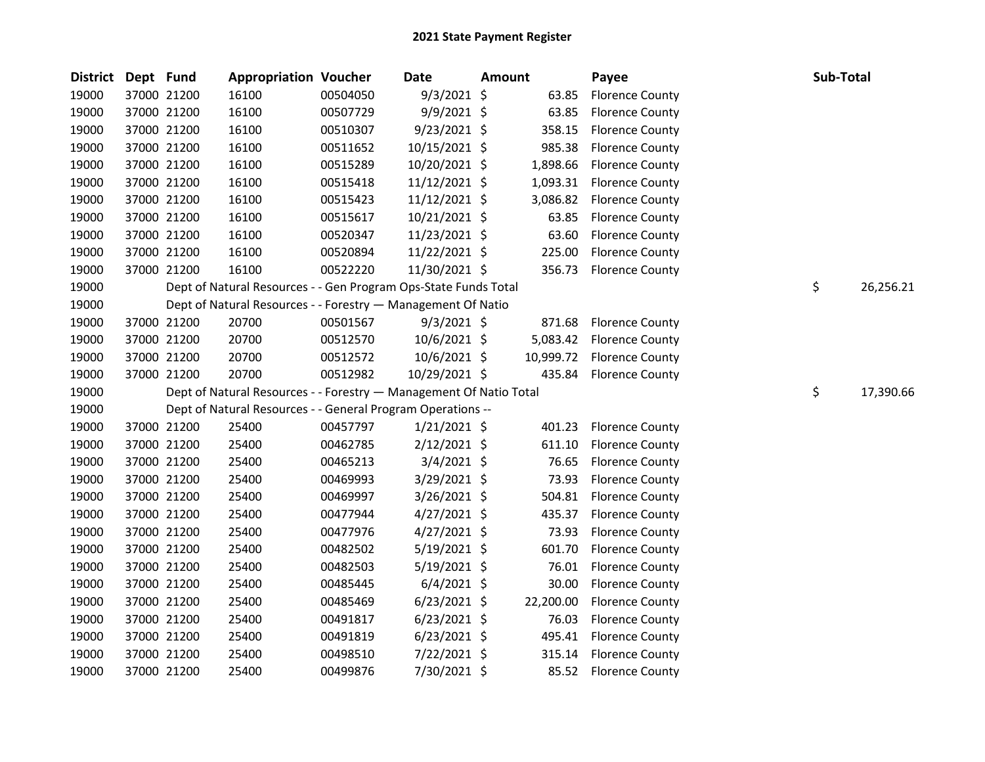| <b>District</b> | Dept Fund |             | <b>Appropriation Voucher</b>                                       |          | <b>Date</b>    | <b>Amount</b> | Payee                    | Sub-Total |           |
|-----------------|-----------|-------------|--------------------------------------------------------------------|----------|----------------|---------------|--------------------------|-----------|-----------|
| 19000           |           | 37000 21200 | 16100                                                              | 00504050 | 9/3/2021 \$    | 63.85         | <b>Florence County</b>   |           |           |
| 19000           |           | 37000 21200 | 16100                                                              | 00507729 | 9/9/2021 \$    | 63.85         | <b>Florence County</b>   |           |           |
| 19000           |           | 37000 21200 | 16100                                                              | 00510307 | 9/23/2021 \$   | 358.15        | <b>Florence County</b>   |           |           |
| 19000           |           | 37000 21200 | 16100                                                              | 00511652 | 10/15/2021 \$  | 985.38        | <b>Florence County</b>   |           |           |
| 19000           |           | 37000 21200 | 16100                                                              | 00515289 | 10/20/2021 \$  | 1,898.66      | <b>Florence County</b>   |           |           |
| 19000           |           | 37000 21200 | 16100                                                              | 00515418 | 11/12/2021 \$  | 1,093.31      | <b>Florence County</b>   |           |           |
| 19000           |           | 37000 21200 | 16100                                                              | 00515423 | 11/12/2021 \$  | 3,086.82      | <b>Florence County</b>   |           |           |
| 19000           |           | 37000 21200 | 16100                                                              | 00515617 | 10/21/2021 \$  | 63.85         | <b>Florence County</b>   |           |           |
| 19000           |           | 37000 21200 | 16100                                                              | 00520347 | 11/23/2021 \$  | 63.60         | <b>Florence County</b>   |           |           |
| 19000           |           | 37000 21200 | 16100                                                              | 00520894 | 11/22/2021 \$  | 225.00        | <b>Florence County</b>   |           |           |
| 19000           |           | 37000 21200 | 16100                                                              | 00522220 | 11/30/2021 \$  | 356.73        | <b>Florence County</b>   |           |           |
| 19000           |           |             | Dept of Natural Resources - - Gen Program Ops-State Funds Total    |          |                |               |                          | \$        | 26,256.21 |
| 19000           |           |             | Dept of Natural Resources - - Forestry - Management Of Natio       |          |                |               |                          |           |           |
| 19000           |           | 37000 21200 | 20700                                                              | 00501567 | $9/3/2021$ \$  | 871.68        | <b>Florence County</b>   |           |           |
| 19000           |           | 37000 21200 | 20700                                                              | 00512570 | 10/6/2021 \$   |               | 5,083.42 Florence County |           |           |
| 19000           |           | 37000 21200 | 20700                                                              | 00512572 | $10/6/2021$ \$ | 10,999.72     | <b>Florence County</b>   |           |           |
| 19000           |           | 37000 21200 | 20700                                                              | 00512982 | 10/29/2021 \$  | 435.84        | <b>Florence County</b>   |           |           |
| 19000           |           |             | Dept of Natural Resources - - Forestry - Management Of Natio Total |          |                |               |                          | \$        | 17,390.66 |
| 19000           |           |             | Dept of Natural Resources - - General Program Operations --        |          |                |               |                          |           |           |
| 19000           |           | 37000 21200 | 25400                                                              | 00457797 | $1/21/2021$ \$ | 401.23        | <b>Florence County</b>   |           |           |
| 19000           |           | 37000 21200 | 25400                                                              | 00462785 | $2/12/2021$ \$ | 611.10        | <b>Florence County</b>   |           |           |
| 19000           |           | 37000 21200 | 25400                                                              | 00465213 | $3/4/2021$ \$  | 76.65         | <b>Florence County</b>   |           |           |
| 19000           |           | 37000 21200 | 25400                                                              | 00469993 | 3/29/2021 \$   | 73.93         | <b>Florence County</b>   |           |           |
| 19000           |           | 37000 21200 | 25400                                                              | 00469997 | 3/26/2021 \$   | 504.81        | <b>Florence County</b>   |           |           |
| 19000           |           | 37000 21200 | 25400                                                              | 00477944 | $4/27/2021$ \$ | 435.37        | <b>Florence County</b>   |           |           |
| 19000           |           | 37000 21200 | 25400                                                              | 00477976 | $4/27/2021$ \$ | 73.93         | <b>Florence County</b>   |           |           |
| 19000           |           | 37000 21200 | 25400                                                              | 00482502 | $5/19/2021$ \$ | 601.70        | <b>Florence County</b>   |           |           |
| 19000           |           | 37000 21200 | 25400                                                              | 00482503 | 5/19/2021 \$   | 76.01         | <b>Florence County</b>   |           |           |
| 19000           |           | 37000 21200 | 25400                                                              | 00485445 | $6/4/2021$ \$  | 30.00         | <b>Florence County</b>   |           |           |
| 19000           |           | 37000 21200 | 25400                                                              | 00485469 | $6/23/2021$ \$ | 22,200.00     | <b>Florence County</b>   |           |           |
| 19000           |           | 37000 21200 | 25400                                                              | 00491817 | $6/23/2021$ \$ | 76.03         | <b>Florence County</b>   |           |           |
| 19000           |           | 37000 21200 | 25400                                                              | 00491819 | $6/23/2021$ \$ | 495.41        | <b>Florence County</b>   |           |           |
| 19000           |           | 37000 21200 | 25400                                                              | 00498510 | 7/22/2021 \$   | 315.14        | <b>Florence County</b>   |           |           |
| 19000           |           | 37000 21200 | 25400                                                              | 00499876 | 7/30/2021 \$   | 85.52         | <b>Florence County</b>   |           |           |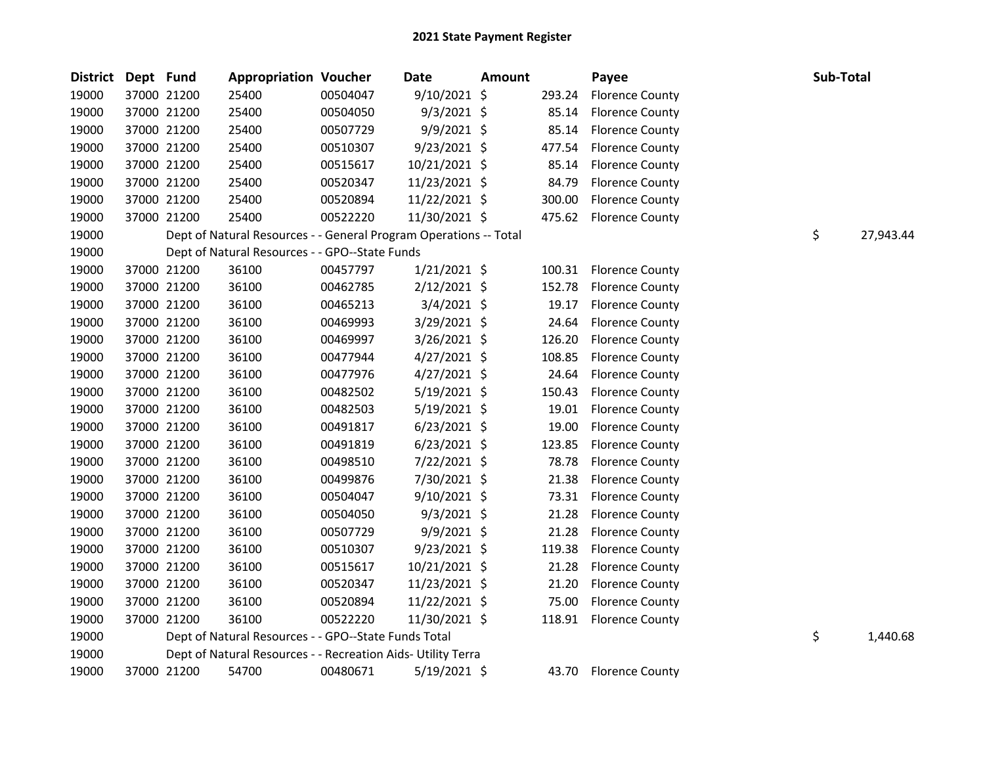| <b>District</b> | Dept Fund |             | <b>Appropriation Voucher</b>                                      |          | Date           | <b>Amount</b> |        | Payee                  | Sub-Total |           |
|-----------------|-----------|-------------|-------------------------------------------------------------------|----------|----------------|---------------|--------|------------------------|-----------|-----------|
| 19000           |           | 37000 21200 | 25400                                                             | 00504047 | $9/10/2021$ \$ |               | 293.24 | <b>Florence County</b> |           |           |
| 19000           |           | 37000 21200 | 25400                                                             | 00504050 | $9/3/2021$ \$  |               | 85.14  | <b>Florence County</b> |           |           |
| 19000           |           | 37000 21200 | 25400                                                             | 00507729 | 9/9/2021 \$    |               | 85.14  | <b>Florence County</b> |           |           |
| 19000           |           | 37000 21200 | 25400                                                             | 00510307 | $9/23/2021$ \$ |               | 477.54 | <b>Florence County</b> |           |           |
| 19000           |           | 37000 21200 | 25400                                                             | 00515617 | 10/21/2021 \$  |               | 85.14  | <b>Florence County</b> |           |           |
| 19000           |           | 37000 21200 | 25400                                                             | 00520347 | 11/23/2021 \$  |               | 84.79  | <b>Florence County</b> |           |           |
| 19000           |           | 37000 21200 | 25400                                                             | 00520894 | 11/22/2021 \$  |               | 300.00 | <b>Florence County</b> |           |           |
| 19000           |           | 37000 21200 | 25400                                                             | 00522220 | 11/30/2021 \$  |               | 475.62 | <b>Florence County</b> |           |           |
| 19000           |           |             | Dept of Natural Resources - - General Program Operations -- Total |          |                |               |        |                        | \$        | 27,943.44 |
| 19000           |           |             | Dept of Natural Resources - - GPO--State Funds                    |          |                |               |        |                        |           |           |
| 19000           |           | 37000 21200 | 36100                                                             | 00457797 | $1/21/2021$ \$ |               | 100.31 | <b>Florence County</b> |           |           |
| 19000           |           | 37000 21200 | 36100                                                             | 00462785 | $2/12/2021$ \$ |               | 152.78 | <b>Florence County</b> |           |           |
| 19000           |           | 37000 21200 | 36100                                                             | 00465213 | $3/4/2021$ \$  |               | 19.17  | <b>Florence County</b> |           |           |
| 19000           |           | 37000 21200 | 36100                                                             | 00469993 | 3/29/2021 \$   |               | 24.64  | <b>Florence County</b> |           |           |
| 19000           |           | 37000 21200 | 36100                                                             | 00469997 | $3/26/2021$ \$ |               | 126.20 | <b>Florence County</b> |           |           |
| 19000           |           | 37000 21200 | 36100                                                             | 00477944 | $4/27/2021$ \$ |               | 108.85 | <b>Florence County</b> |           |           |
| 19000           |           | 37000 21200 | 36100                                                             | 00477976 | 4/27/2021 \$   |               | 24.64  | <b>Florence County</b> |           |           |
| 19000           |           | 37000 21200 | 36100                                                             | 00482502 | $5/19/2021$ \$ |               | 150.43 | <b>Florence County</b> |           |           |
| 19000           |           | 37000 21200 | 36100                                                             | 00482503 | $5/19/2021$ \$ |               | 19.01  | <b>Florence County</b> |           |           |
| 19000           |           | 37000 21200 | 36100                                                             | 00491817 | $6/23/2021$ \$ |               | 19.00  | <b>Florence County</b> |           |           |
| 19000           |           | 37000 21200 | 36100                                                             | 00491819 | $6/23/2021$ \$ |               | 123.85 | <b>Florence County</b> |           |           |
| 19000           |           | 37000 21200 | 36100                                                             | 00498510 | 7/22/2021 \$   |               | 78.78  | <b>Florence County</b> |           |           |
| 19000           |           | 37000 21200 | 36100                                                             | 00499876 | 7/30/2021 \$   |               | 21.38  | <b>Florence County</b> |           |           |
| 19000           |           | 37000 21200 | 36100                                                             | 00504047 | 9/10/2021 \$   |               | 73.31  | <b>Florence County</b> |           |           |
| 19000           |           | 37000 21200 | 36100                                                             | 00504050 | $9/3/2021$ \$  |               | 21.28  | <b>Florence County</b> |           |           |
| 19000           |           | 37000 21200 | 36100                                                             | 00507729 | $9/9/2021$ \$  |               | 21.28  | <b>Florence County</b> |           |           |
| 19000           |           | 37000 21200 | 36100                                                             | 00510307 | $9/23/2021$ \$ |               | 119.38 | <b>Florence County</b> |           |           |
| 19000           |           | 37000 21200 | 36100                                                             | 00515617 | 10/21/2021 \$  |               | 21.28  | <b>Florence County</b> |           |           |
| 19000           |           | 37000 21200 | 36100                                                             | 00520347 | 11/23/2021 \$  |               | 21.20  | <b>Florence County</b> |           |           |
| 19000           |           | 37000 21200 | 36100                                                             | 00520894 | 11/22/2021 \$  |               | 75.00  | <b>Florence County</b> |           |           |
| 19000           |           | 37000 21200 | 36100                                                             | 00522220 | 11/30/2021 \$  |               | 118.91 | <b>Florence County</b> |           |           |
| 19000           |           |             | Dept of Natural Resources - - GPO--State Funds Total              |          |                |               |        |                        | \$        | 1,440.68  |
| 19000           |           |             | Dept of Natural Resources - - Recreation Aids- Utility Terra      |          |                |               |        |                        |           |           |
| 19000           |           | 37000 21200 | 54700                                                             | 00480671 | 5/19/2021 \$   |               | 43.70  | <b>Florence County</b> |           |           |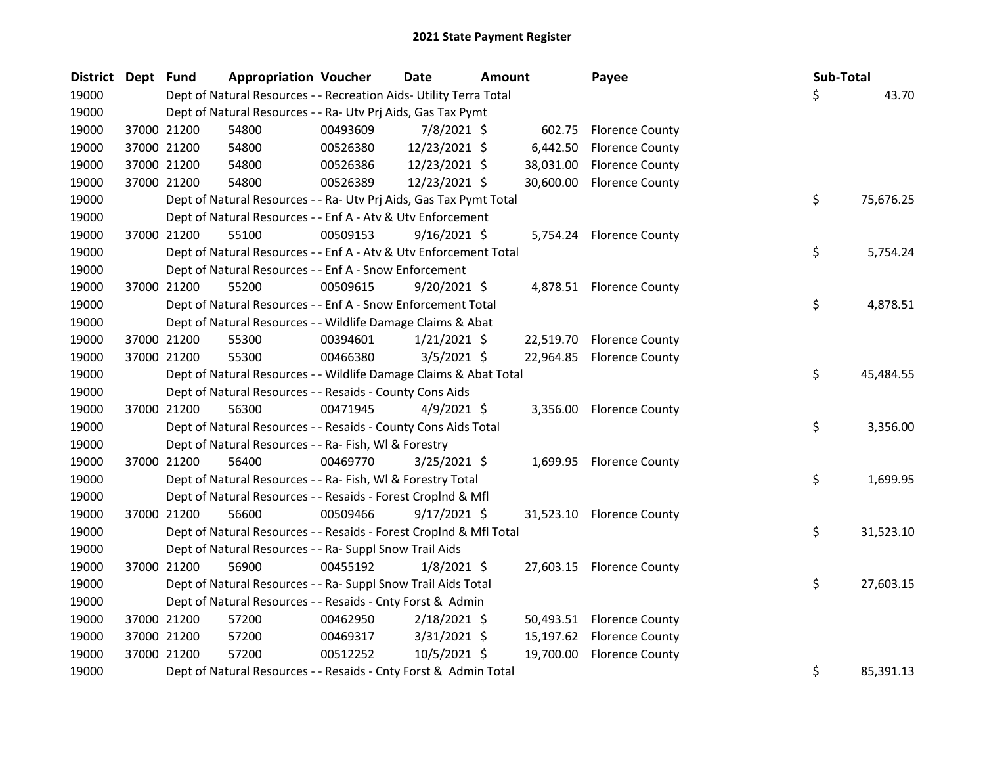| District Dept Fund |             | <b>Appropriation Voucher</b>                                       |          | <b>Date</b><br><b>Amount</b> |  | Payee     | Sub-Total                 |  |    |           |
|--------------------|-------------|--------------------------------------------------------------------|----------|------------------------------|--|-----------|---------------------------|--|----|-----------|
| 19000              |             | Dept of Natural Resources - - Recreation Aids- Utility Terra Total |          |                              |  |           |                           |  | Ś. | 43.70     |
| 19000              |             | Dept of Natural Resources - - Ra- Utv Prj Aids, Gas Tax Pymt       |          |                              |  |           |                           |  |    |           |
| 19000              | 37000 21200 | 54800                                                              | 00493609 | 7/8/2021 \$                  |  |           | 602.75 Florence County    |  |    |           |
| 19000              | 37000 21200 | 54800                                                              | 00526380 | 12/23/2021 \$                |  | 6,442.50  | <b>Florence County</b>    |  |    |           |
| 19000              | 37000 21200 | 54800                                                              | 00526386 | 12/23/2021 \$                |  | 38,031.00 | <b>Florence County</b>    |  |    |           |
| 19000              | 37000 21200 | 54800                                                              | 00526389 | 12/23/2021 \$                |  |           | 30,600.00 Florence County |  |    |           |
| 19000              |             | Dept of Natural Resources - - Ra- Utv Prj Aids, Gas Tax Pymt Total |          |                              |  |           |                           |  | \$ | 75,676.25 |
| 19000              |             | Dept of Natural Resources - - Enf A - Atv & Utv Enforcement        |          |                              |  |           |                           |  |    |           |
| 19000              | 37000 21200 | 55100                                                              | 00509153 | $9/16/2021$ \$               |  |           | 5,754.24 Florence County  |  |    |           |
| 19000              |             | Dept of Natural Resources - - Enf A - Atv & Utv Enforcement Total  |          |                              |  |           |                           |  | \$ | 5,754.24  |
| 19000              |             | Dept of Natural Resources - - Enf A - Snow Enforcement             |          |                              |  |           |                           |  |    |           |
| 19000              | 37000 21200 | 55200                                                              | 00509615 | $9/20/2021$ \$               |  |           | 4,878.51 Florence County  |  |    |           |
| 19000              |             | Dept of Natural Resources - - Enf A - Snow Enforcement Total       |          |                              |  |           |                           |  | \$ | 4,878.51  |
| 19000              |             | Dept of Natural Resources - - Wildlife Damage Claims & Abat        |          |                              |  |           |                           |  |    |           |
| 19000              | 37000 21200 | 55300                                                              | 00394601 | $1/21/2021$ \$               |  | 22,519.70 | <b>Florence County</b>    |  |    |           |
| 19000              | 37000 21200 | 55300                                                              | 00466380 | $3/5/2021$ \$                |  | 22,964.85 | <b>Florence County</b>    |  |    |           |
| 19000              |             | Dept of Natural Resources - - Wildlife Damage Claims & Abat Total  |          |                              |  |           |                           |  | \$ | 45,484.55 |
| 19000              |             | Dept of Natural Resources - - Resaids - County Cons Aids           |          |                              |  |           |                           |  |    |           |
| 19000              | 37000 21200 | 56300                                                              | 00471945 | $4/9/2021$ \$                |  |           | 3,356.00 Florence County  |  |    |           |
| 19000              |             | Dept of Natural Resources - - Resaids - County Cons Aids Total     |          |                              |  |           |                           |  | \$ | 3,356.00  |
| 19000              |             | Dept of Natural Resources - - Ra- Fish, WI & Forestry              |          |                              |  |           |                           |  |    |           |
| 19000              | 37000 21200 | 56400                                                              | 00469770 | $3/25/2021$ \$               |  |           | 1,699.95 Florence County  |  |    |           |
| 19000              |             | Dept of Natural Resources - - Ra- Fish, WI & Forestry Total        |          |                              |  |           |                           |  | \$ | 1,699.95  |
| 19000              |             | Dept of Natural Resources - - Resaids - Forest CropInd & Mfl       |          |                              |  |           |                           |  |    |           |
| 19000              | 37000 21200 | 56600                                                              | 00509466 | $9/17/2021$ \$               |  |           | 31,523.10 Florence County |  |    |           |
| 19000              |             | Dept of Natural Resources - - Resaids - Forest CropInd & Mfl Total |          |                              |  |           |                           |  | \$ | 31,523.10 |
| 19000              |             | Dept of Natural Resources - - Ra- Suppl Snow Trail Aids            |          |                              |  |           |                           |  |    |           |
| 19000              | 37000 21200 | 56900                                                              | 00455192 | $1/8/2021$ \$                |  |           | 27,603.15 Florence County |  |    |           |
| 19000              |             | Dept of Natural Resources - - Ra- Suppl Snow Trail Aids Total      |          |                              |  |           |                           |  | \$ | 27,603.15 |
| 19000              |             | Dept of Natural Resources - - Resaids - Cnty Forst & Admin         |          |                              |  |           |                           |  |    |           |
| 19000              | 37000 21200 | 57200                                                              | 00462950 | $2/18/2021$ \$               |  |           | 50,493.51 Florence County |  |    |           |
| 19000              | 37000 21200 | 57200                                                              | 00469317 | 3/31/2021 \$                 |  | 15,197.62 | <b>Florence County</b>    |  |    |           |
| 19000              | 37000 21200 | 57200                                                              | 00512252 | 10/5/2021 \$                 |  | 19,700.00 | <b>Florence County</b>    |  |    |           |
| 19000              |             | Dept of Natural Resources - - Resaids - Cnty Forst & Admin Total   |          |                              |  |           |                           |  | \$ | 85,391.13 |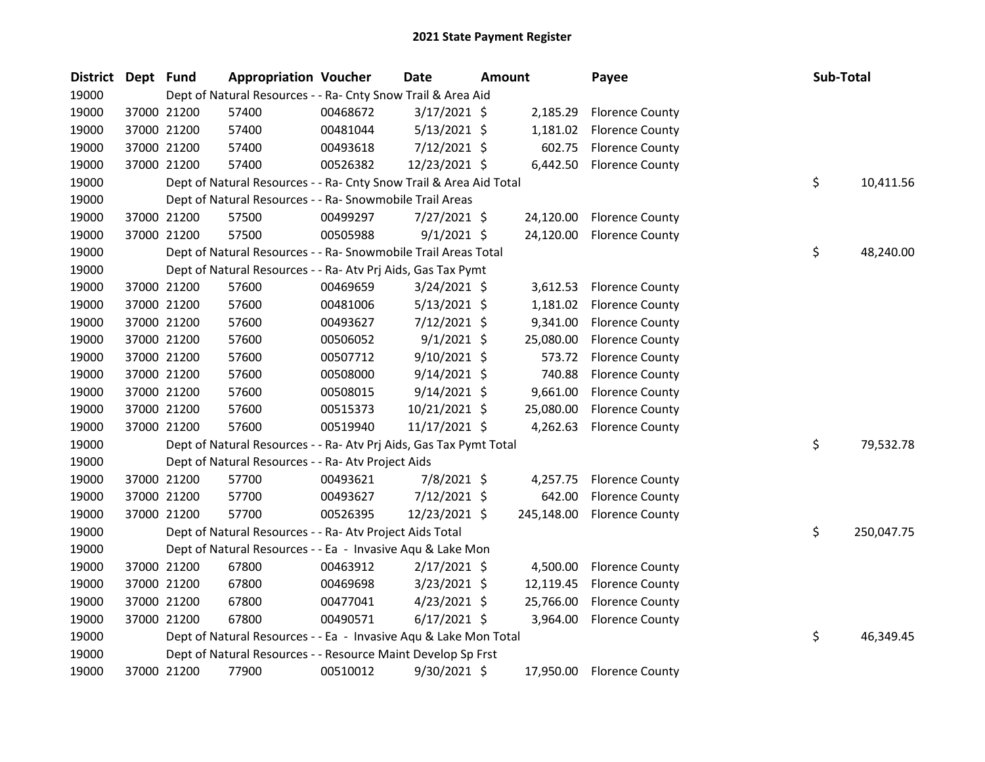| <b>District</b> | Dept Fund |             | <b>Appropriation Voucher</b>                                       |          | Date           | <b>Amount</b> |            | Payee                     | Sub-Total |            |
|-----------------|-----------|-------------|--------------------------------------------------------------------|----------|----------------|---------------|------------|---------------------------|-----------|------------|
| 19000           |           |             | Dept of Natural Resources - - Ra- Cnty Snow Trail & Area Aid       |          |                |               |            |                           |           |            |
| 19000           |           | 37000 21200 | 57400                                                              | 00468672 | $3/17/2021$ \$ |               | 2,185.29   | <b>Florence County</b>    |           |            |
| 19000           |           | 37000 21200 | 57400                                                              | 00481044 | $5/13/2021$ \$ |               | 1,181.02   | <b>Florence County</b>    |           |            |
| 19000           |           | 37000 21200 | 57400                                                              | 00493618 | $7/12/2021$ \$ |               | 602.75     | <b>Florence County</b>    |           |            |
| 19000           |           | 37000 21200 | 57400                                                              | 00526382 | 12/23/2021 \$  |               | 6,442.50   | <b>Florence County</b>    |           |            |
| 19000           |           |             | Dept of Natural Resources - - Ra- Cnty Snow Trail & Area Aid Total |          |                |               |            |                           | \$        | 10,411.56  |
| 19000           |           |             | Dept of Natural Resources - - Ra- Snowmobile Trail Areas           |          |                |               |            |                           |           |            |
| 19000           |           | 37000 21200 | 57500                                                              | 00499297 | 7/27/2021 \$   |               | 24,120.00  | <b>Florence County</b>    |           |            |
| 19000           |           | 37000 21200 | 57500                                                              | 00505988 | $9/1/2021$ \$  |               | 24,120.00  | <b>Florence County</b>    |           |            |
| 19000           |           |             | Dept of Natural Resources - - Ra- Snowmobile Trail Areas Total     |          |                |               |            |                           | \$        | 48,240.00  |
| 19000           |           |             | Dept of Natural Resources - - Ra- Atv Prj Aids, Gas Tax Pymt       |          |                |               |            |                           |           |            |
| 19000           |           | 37000 21200 | 57600                                                              | 00469659 | $3/24/2021$ \$ |               | 3,612.53   | <b>Florence County</b>    |           |            |
| 19000           |           | 37000 21200 | 57600                                                              | 00481006 | $5/13/2021$ \$ |               | 1,181.02   | <b>Florence County</b>    |           |            |
| 19000           |           | 37000 21200 | 57600                                                              | 00493627 | 7/12/2021 \$   |               | 9,341.00   | <b>Florence County</b>    |           |            |
| 19000           |           | 37000 21200 | 57600                                                              | 00506052 | $9/1/2021$ \$  |               | 25,080.00  | <b>Florence County</b>    |           |            |
| 19000           |           | 37000 21200 | 57600                                                              | 00507712 | $9/10/2021$ \$ |               | 573.72     | <b>Florence County</b>    |           |            |
| 19000           |           | 37000 21200 | 57600                                                              | 00508000 | $9/14/2021$ \$ |               | 740.88     | <b>Florence County</b>    |           |            |
| 19000           |           | 37000 21200 | 57600                                                              | 00508015 | $9/14/2021$ \$ |               | 9,661.00   | <b>Florence County</b>    |           |            |
| 19000           |           | 37000 21200 | 57600                                                              | 00515373 | 10/21/2021 \$  |               | 25,080.00  | <b>Florence County</b>    |           |            |
| 19000           |           | 37000 21200 | 57600                                                              | 00519940 | 11/17/2021 \$  |               | 4,262.63   | <b>Florence County</b>    |           |            |
| 19000           |           |             | Dept of Natural Resources - - Ra- Atv Prj Aids, Gas Tax Pymt Total |          |                |               |            |                           | \$        | 79,532.78  |
| 19000           |           |             | Dept of Natural Resources - - Ra- Atv Project Aids                 |          |                |               |            |                           |           |            |
| 19000           |           | 37000 21200 | 57700                                                              | 00493621 | 7/8/2021 \$    |               | 4,257.75   | <b>Florence County</b>    |           |            |
| 19000           |           | 37000 21200 | 57700                                                              | 00493627 | 7/12/2021 \$   |               | 642.00     | <b>Florence County</b>    |           |            |
| 19000           |           | 37000 21200 | 57700                                                              | 00526395 | 12/23/2021 \$  |               | 245,148.00 | <b>Florence County</b>    |           |            |
| 19000           |           |             | Dept of Natural Resources - - Ra- Atv Project Aids Total           |          |                |               |            |                           | \$        | 250,047.75 |
| 19000           |           |             | Dept of Natural Resources - - Ea - Invasive Aqu & Lake Mon         |          |                |               |            |                           |           |            |
| 19000           |           | 37000 21200 | 67800                                                              | 00463912 | $2/17/2021$ \$ |               | 4,500.00   | <b>Florence County</b>    |           |            |
| 19000           |           | 37000 21200 | 67800                                                              | 00469698 | $3/23/2021$ \$ |               | 12,119.45  | <b>Florence County</b>    |           |            |
| 19000           |           | 37000 21200 | 67800                                                              | 00477041 | $4/23/2021$ \$ |               | 25,766.00  | <b>Florence County</b>    |           |            |
| 19000           |           | 37000 21200 | 67800                                                              | 00490571 | $6/17/2021$ \$ |               | 3,964.00   | <b>Florence County</b>    |           |            |
| 19000           |           |             | Dept of Natural Resources - - Ea - Invasive Aqu & Lake Mon Total   |          |                |               |            |                           | \$        | 46,349.45  |
| 19000           |           |             | Dept of Natural Resources - - Resource Maint Develop Sp Frst       |          |                |               |            |                           |           |            |
| 19000           |           | 37000 21200 | 77900                                                              | 00510012 | 9/30/2021 \$   |               |            | 17,950.00 Florence County |           |            |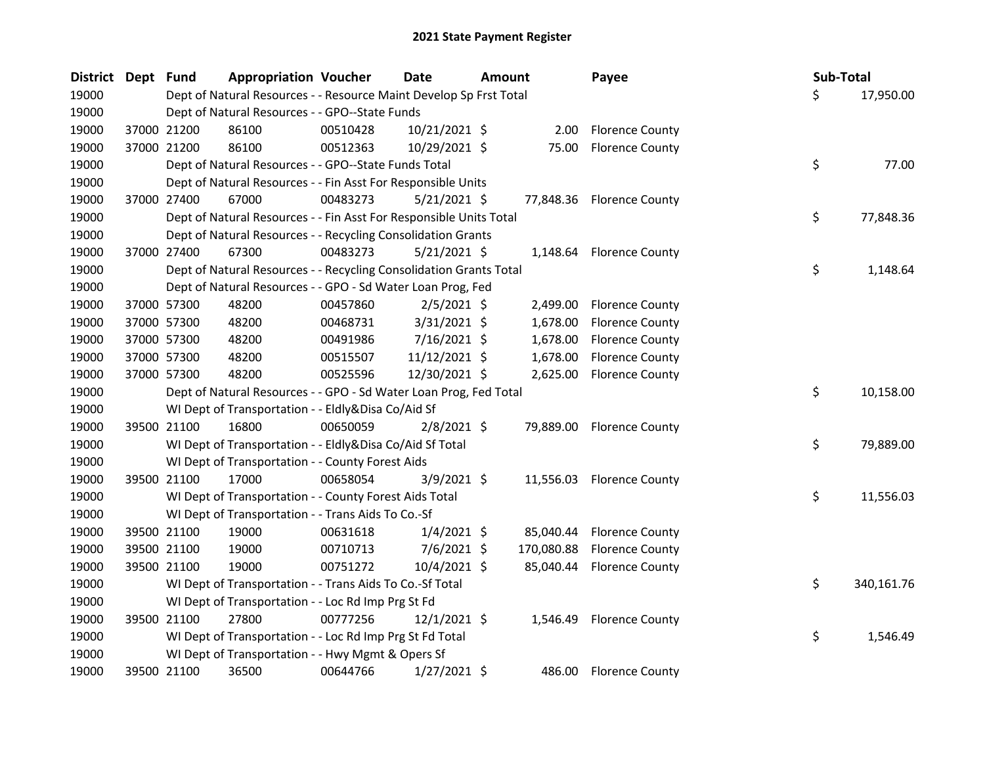| <b>District</b> | Dept Fund |             | <b>Appropriation Voucher</b>                                       |          | <b>Date</b>    | <b>Amount</b> | Payee                     |     | Sub-Total |            |
|-----------------|-----------|-------------|--------------------------------------------------------------------|----------|----------------|---------------|---------------------------|-----|-----------|------------|
| 19000           |           |             | Dept of Natural Resources - - Resource Maint Develop Sp Frst Total |          |                |               |                           | \$. |           | 17,950.00  |
| 19000           |           |             | Dept of Natural Resources - - GPO--State Funds                     |          |                |               |                           |     |           |            |
| 19000           |           | 37000 21200 | 86100                                                              | 00510428 | 10/21/2021 \$  | 2.00          | <b>Florence County</b>    |     |           |            |
| 19000           |           | 37000 21200 | 86100                                                              | 00512363 | 10/29/2021 \$  | 75.00         | <b>Florence County</b>    |     |           |            |
| 19000           |           |             | Dept of Natural Resources - - GPO--State Funds Total               |          |                |               |                           | \$  |           | 77.00      |
| 19000           |           |             | Dept of Natural Resources - - Fin Asst For Responsible Units       |          |                |               |                           |     |           |            |
| 19000           |           | 37000 27400 | 67000                                                              | 00483273 | $5/21/2021$ \$ |               | 77,848.36 Florence County |     |           |            |
| 19000           |           |             | Dept of Natural Resources - - Fin Asst For Responsible Units Total |          |                |               |                           | \$  |           | 77,848.36  |
| 19000           |           |             | Dept of Natural Resources - - Recycling Consolidation Grants       |          |                |               |                           |     |           |            |
| 19000           |           | 37000 27400 | 67300                                                              | 00483273 | $5/21/2021$ \$ | 1,148.64      | <b>Florence County</b>    |     |           |            |
| 19000           |           |             | Dept of Natural Resources - - Recycling Consolidation Grants Total |          |                |               |                           | \$  |           | 1,148.64   |
| 19000           |           |             | Dept of Natural Resources - - GPO - Sd Water Loan Prog, Fed        |          |                |               |                           |     |           |            |
| 19000           |           | 37000 57300 | 48200                                                              | 00457860 | $2/5/2021$ \$  | 2,499.00      | <b>Florence County</b>    |     |           |            |
| 19000           |           | 37000 57300 | 48200                                                              | 00468731 | 3/31/2021 \$   | 1,678.00      | <b>Florence County</b>    |     |           |            |
| 19000           |           | 37000 57300 | 48200                                                              | 00491986 | $7/16/2021$ \$ | 1,678.00      | <b>Florence County</b>    |     |           |            |
| 19000           |           | 37000 57300 | 48200                                                              | 00515507 | 11/12/2021 \$  | 1,678.00      | <b>Florence County</b>    |     |           |            |
| 19000           |           | 37000 57300 | 48200                                                              | 00525596 | 12/30/2021 \$  | 2,625.00      | <b>Florence County</b>    |     |           |            |
| 19000           |           |             | Dept of Natural Resources - - GPO - Sd Water Loan Prog, Fed Total  |          |                |               |                           | \$  |           | 10,158.00  |
| 19000           |           |             | WI Dept of Transportation - - Eldly&Disa Co/Aid Sf                 |          |                |               |                           |     |           |            |
| 19000           |           | 39500 21100 | 16800                                                              | 00650059 | $2/8/2021$ \$  |               | 79,889.00 Florence County |     |           |            |
| 19000           |           |             | WI Dept of Transportation - - Eldly&Disa Co/Aid Sf Total           |          |                |               |                           | \$  |           | 79,889.00  |
| 19000           |           |             | WI Dept of Transportation - - County Forest Aids                   |          |                |               |                           |     |           |            |
| 19000           |           | 39500 21100 | 17000                                                              | 00658054 | $3/9/2021$ \$  |               | 11,556.03 Florence County |     |           |            |
| 19000           |           |             | WI Dept of Transportation - - County Forest Aids Total             |          |                |               |                           | \$  |           | 11,556.03  |
| 19000           |           |             | WI Dept of Transportation - - Trans Aids To Co.-Sf                 |          |                |               |                           |     |           |            |
| 19000           |           | 39500 21100 | 19000                                                              | 00631618 | $1/4/2021$ \$  |               | 85,040.44 Florence County |     |           |            |
| 19000           |           | 39500 21100 | 19000                                                              | 00710713 | $7/6/2021$ \$  | 170,080.88    | <b>Florence County</b>    |     |           |            |
| 19000           |           | 39500 21100 | 19000                                                              | 00751272 | 10/4/2021 \$   |               | 85,040.44 Florence County |     |           |            |
| 19000           |           |             | WI Dept of Transportation - - Trans Aids To Co.-Sf Total           |          |                |               |                           | \$  |           | 340,161.76 |
| 19000           |           |             | WI Dept of Transportation - - Loc Rd Imp Prg St Fd                 |          |                |               |                           |     |           |            |
| 19000           |           | 39500 21100 | 27800                                                              | 00777256 | $12/1/2021$ \$ | 1,546.49      | <b>Florence County</b>    |     |           |            |
| 19000           |           |             | WI Dept of Transportation - - Loc Rd Imp Prg St Fd Total           |          |                |               |                           | \$  |           | 1,546.49   |
| 19000           |           |             | WI Dept of Transportation - - Hwy Mgmt & Opers Sf                  |          |                |               |                           |     |           |            |
| 19000           |           | 39500 21100 | 36500                                                              | 00644766 | 1/27/2021 \$   | 486.00        | <b>Florence County</b>    |     |           |            |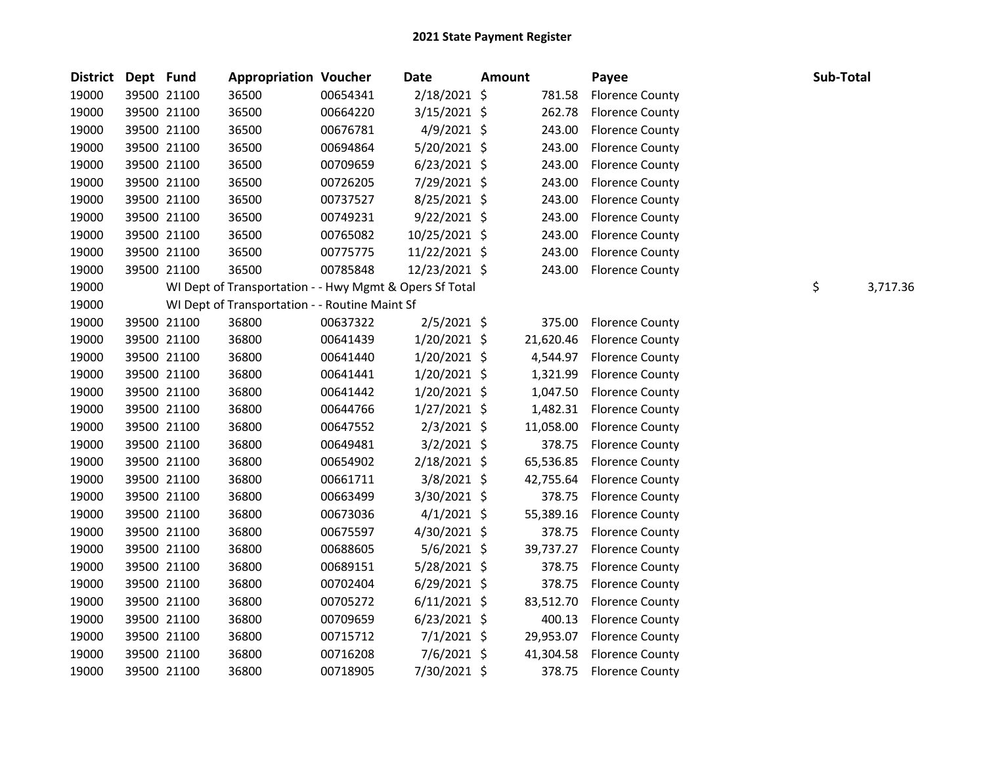| <b>District</b> | Dept Fund |             | <b>Appropriation Voucher</b>                            |          | <b>Date</b>    | <b>Amount</b> |           | Payee                  | Sub-Total |          |
|-----------------|-----------|-------------|---------------------------------------------------------|----------|----------------|---------------|-----------|------------------------|-----------|----------|
| 19000           |           | 39500 21100 | 36500                                                   | 00654341 | 2/18/2021 \$   |               | 781.58    | <b>Florence County</b> |           |          |
| 19000           |           | 39500 21100 | 36500                                                   | 00664220 | 3/15/2021 \$   |               | 262.78    | <b>Florence County</b> |           |          |
| 19000           |           | 39500 21100 | 36500                                                   | 00676781 | $4/9/2021$ \$  |               | 243.00    | <b>Florence County</b> |           |          |
| 19000           |           | 39500 21100 | 36500                                                   | 00694864 | 5/20/2021 \$   |               | 243.00    | <b>Florence County</b> |           |          |
| 19000           |           | 39500 21100 | 36500                                                   | 00709659 | $6/23/2021$ \$ |               | 243.00    | <b>Florence County</b> |           |          |
| 19000           |           | 39500 21100 | 36500                                                   | 00726205 | 7/29/2021 \$   |               | 243.00    | <b>Florence County</b> |           |          |
| 19000           |           | 39500 21100 | 36500                                                   | 00737527 | 8/25/2021 \$   |               | 243.00    | <b>Florence County</b> |           |          |
| 19000           |           | 39500 21100 | 36500                                                   | 00749231 | $9/22/2021$ \$ |               | 243.00    | <b>Florence County</b> |           |          |
| 19000           |           | 39500 21100 | 36500                                                   | 00765082 | 10/25/2021 \$  |               | 243.00    | <b>Florence County</b> |           |          |
| 19000           |           | 39500 21100 | 36500                                                   | 00775775 | 11/22/2021 \$  |               | 243.00    | <b>Florence County</b> |           |          |
| 19000           |           | 39500 21100 | 36500                                                   | 00785848 | 12/23/2021 \$  |               | 243.00    | <b>Florence County</b> |           |          |
| 19000           |           |             | WI Dept of Transportation - - Hwy Mgmt & Opers Sf Total |          |                |               |           |                        | \$        | 3,717.36 |
| 19000           |           |             | WI Dept of Transportation - - Routine Maint Sf          |          |                |               |           |                        |           |          |
| 19000           |           | 39500 21100 | 36800                                                   | 00637322 | $2/5/2021$ \$  |               | 375.00    | <b>Florence County</b> |           |          |
| 19000           |           | 39500 21100 | 36800                                                   | 00641439 | $1/20/2021$ \$ |               | 21,620.46 | <b>Florence County</b> |           |          |
| 19000           |           | 39500 21100 | 36800                                                   | 00641440 | $1/20/2021$ \$ |               | 4,544.97  | <b>Florence County</b> |           |          |
| 19000           |           | 39500 21100 | 36800                                                   | 00641441 | 1/20/2021 \$   |               | 1,321.99  | <b>Florence County</b> |           |          |
| 19000           |           | 39500 21100 | 36800                                                   | 00641442 | 1/20/2021 \$   |               | 1,047.50  | <b>Florence County</b> |           |          |
| 19000           |           | 39500 21100 | 36800                                                   | 00644766 | $1/27/2021$ \$ |               | 1,482.31  | <b>Florence County</b> |           |          |
| 19000           |           | 39500 21100 | 36800                                                   | 00647552 | $2/3/2021$ \$  |               | 11,058.00 | <b>Florence County</b> |           |          |
| 19000           |           | 39500 21100 | 36800                                                   | 00649481 | $3/2/2021$ \$  |               | 378.75    | <b>Florence County</b> |           |          |
| 19000           |           | 39500 21100 | 36800                                                   | 00654902 | 2/18/2021 \$   |               | 65,536.85 | <b>Florence County</b> |           |          |
| 19000           |           | 39500 21100 | 36800                                                   | 00661711 | $3/8/2021$ \$  |               | 42,755.64 | <b>Florence County</b> |           |          |
| 19000           |           | 39500 21100 | 36800                                                   | 00663499 | 3/30/2021 \$   |               | 378.75    | <b>Florence County</b> |           |          |
| 19000           |           | 39500 21100 | 36800                                                   | 00673036 | $4/1/2021$ \$  |               | 55,389.16 | <b>Florence County</b> |           |          |
| 19000           |           | 39500 21100 | 36800                                                   | 00675597 | 4/30/2021 \$   |               | 378.75    | <b>Florence County</b> |           |          |
| 19000           |           | 39500 21100 | 36800                                                   | 00688605 | $5/6/2021$ \$  |               | 39,737.27 | <b>Florence County</b> |           |          |
| 19000           |           | 39500 21100 | 36800                                                   | 00689151 | $5/28/2021$ \$ |               | 378.75    | <b>Florence County</b> |           |          |
| 19000           |           | 39500 21100 | 36800                                                   | 00702404 | $6/29/2021$ \$ |               | 378.75    | <b>Florence County</b> |           |          |
| 19000           |           | 39500 21100 | 36800                                                   | 00705272 | $6/11/2021$ \$ |               | 83,512.70 | <b>Florence County</b> |           |          |
| 19000           |           | 39500 21100 | 36800                                                   | 00709659 | 6/23/2021 \$   |               | 400.13    | <b>Florence County</b> |           |          |
| 19000           |           | 39500 21100 | 36800                                                   | 00715712 | $7/1/2021$ \$  |               | 29,953.07 | <b>Florence County</b> |           |          |
| 19000           |           | 39500 21100 | 36800                                                   | 00716208 | 7/6/2021 \$    |               | 41,304.58 | <b>Florence County</b> |           |          |
| 19000           |           | 39500 21100 | 36800                                                   | 00718905 | 7/30/2021 \$   |               | 378.75    | <b>Florence County</b> |           |          |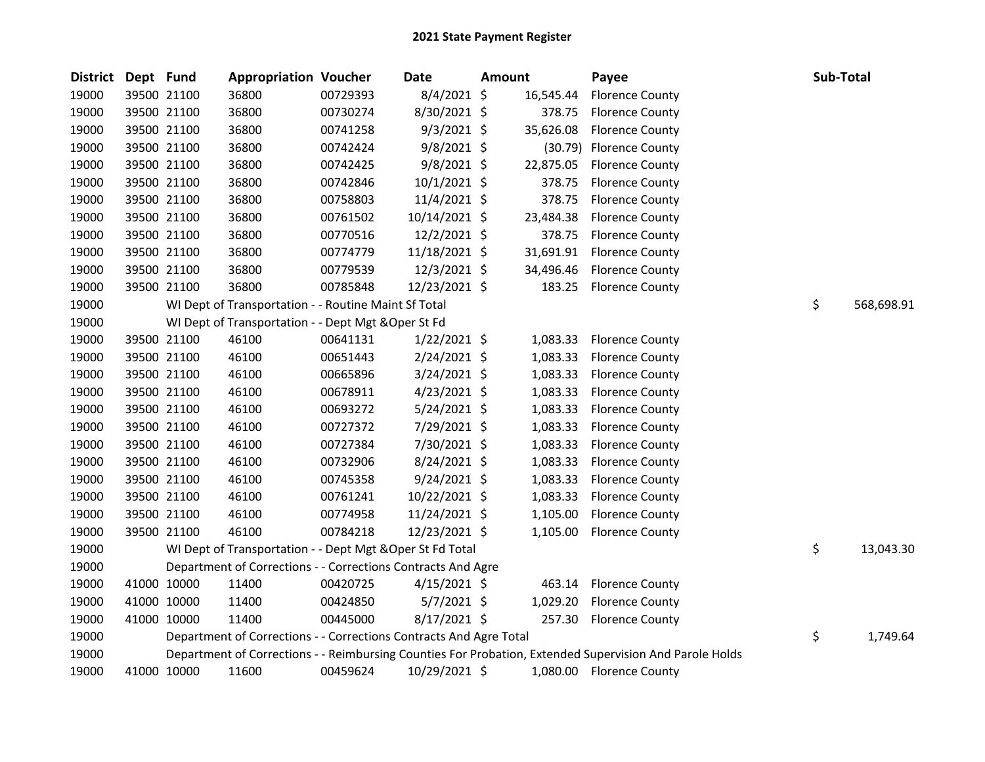| <b>District</b> | Dept Fund |             | <b>Appropriation Voucher</b>                                       |          | Date           | <b>Amount</b> |           | Payee                                                                                                   | Sub-Total        |
|-----------------|-----------|-------------|--------------------------------------------------------------------|----------|----------------|---------------|-----------|---------------------------------------------------------------------------------------------------------|------------------|
| 19000           |           | 39500 21100 | 36800                                                              | 00729393 | 8/4/2021 \$    |               | 16,545.44 | <b>Florence County</b>                                                                                  |                  |
| 19000           |           | 39500 21100 | 36800                                                              | 00730274 | 8/30/2021 \$   |               | 378.75    | <b>Florence County</b>                                                                                  |                  |
| 19000           |           | 39500 21100 | 36800                                                              | 00741258 | $9/3/2021$ \$  |               | 35,626.08 | <b>Florence County</b>                                                                                  |                  |
| 19000           |           | 39500 21100 | 36800                                                              | 00742424 | $9/8/2021$ \$  |               |           | (30.79) Florence County                                                                                 |                  |
| 19000           |           | 39500 21100 | 36800                                                              | 00742425 | 9/8/2021 \$    |               | 22,875.05 | <b>Florence County</b>                                                                                  |                  |
| 19000           |           | 39500 21100 | 36800                                                              | 00742846 | $10/1/2021$ \$ |               | 378.75    | <b>Florence County</b>                                                                                  |                  |
| 19000           |           | 39500 21100 | 36800                                                              | 00758803 | 11/4/2021 \$   |               | 378.75    | <b>Florence County</b>                                                                                  |                  |
| 19000           |           | 39500 21100 | 36800                                                              | 00761502 | 10/14/2021 \$  |               | 23,484.38 | <b>Florence County</b>                                                                                  |                  |
| 19000           |           | 39500 21100 | 36800                                                              | 00770516 | 12/2/2021 \$   |               | 378.75    | <b>Florence County</b>                                                                                  |                  |
| 19000           |           | 39500 21100 | 36800                                                              | 00774779 | 11/18/2021 \$  |               | 31,691.91 | <b>Florence County</b>                                                                                  |                  |
| 19000           |           | 39500 21100 | 36800                                                              | 00779539 | 12/3/2021 \$   |               | 34,496.46 | <b>Florence County</b>                                                                                  |                  |
| 19000           |           | 39500 21100 | 36800                                                              | 00785848 | 12/23/2021 \$  |               | 183.25    | <b>Florence County</b>                                                                                  |                  |
| 19000           |           |             | WI Dept of Transportation - - Routine Maint Sf Total               |          |                |               |           |                                                                                                         | \$<br>568,698.91 |
| 19000           |           |             | WI Dept of Transportation - - Dept Mgt & Oper St Fd                |          |                |               |           |                                                                                                         |                  |
| 19000           |           | 39500 21100 | 46100                                                              | 00641131 | $1/22/2021$ \$ |               | 1,083.33  | <b>Florence County</b>                                                                                  |                  |
| 19000           |           | 39500 21100 | 46100                                                              | 00651443 | 2/24/2021 \$   |               | 1,083.33  | <b>Florence County</b>                                                                                  |                  |
| 19000           |           | 39500 21100 | 46100                                                              | 00665896 | $3/24/2021$ \$ |               | 1,083.33  | <b>Florence County</b>                                                                                  |                  |
| 19000           |           | 39500 21100 | 46100                                                              | 00678911 | $4/23/2021$ \$ |               | 1,083.33  | <b>Florence County</b>                                                                                  |                  |
| 19000           |           | 39500 21100 | 46100                                                              | 00693272 | $5/24/2021$ \$ |               | 1,083.33  | <b>Florence County</b>                                                                                  |                  |
| 19000           |           | 39500 21100 | 46100                                                              | 00727372 | 7/29/2021 \$   |               | 1,083.33  | <b>Florence County</b>                                                                                  |                  |
| 19000           |           | 39500 21100 | 46100                                                              | 00727384 | 7/30/2021 \$   |               | 1,083.33  | <b>Florence County</b>                                                                                  |                  |
| 19000           |           | 39500 21100 | 46100                                                              | 00732906 | $8/24/2021$ \$ |               | 1,083.33  | <b>Florence County</b>                                                                                  |                  |
| 19000           |           | 39500 21100 | 46100                                                              | 00745358 | $9/24/2021$ \$ |               | 1,083.33  | <b>Florence County</b>                                                                                  |                  |
| 19000           |           | 39500 21100 | 46100                                                              | 00761241 | 10/22/2021 \$  |               | 1,083.33  | <b>Florence County</b>                                                                                  |                  |
| 19000           |           | 39500 21100 | 46100                                                              | 00774958 | 11/24/2021 \$  |               | 1,105.00  | <b>Florence County</b>                                                                                  |                  |
| 19000           |           | 39500 21100 | 46100                                                              | 00784218 | 12/23/2021 \$  |               | 1,105.00  | <b>Florence County</b>                                                                                  |                  |
| 19000           |           |             | WI Dept of Transportation - - Dept Mgt & Oper St Fd Total          |          |                |               |           |                                                                                                         | \$<br>13,043.30  |
| 19000           |           |             | Department of Corrections - - Corrections Contracts And Agre       |          |                |               |           |                                                                                                         |                  |
| 19000           |           | 41000 10000 | 11400                                                              | 00420725 | $4/15/2021$ \$ |               | 463.14    | <b>Florence County</b>                                                                                  |                  |
| 19000           |           | 41000 10000 | 11400                                                              | 00424850 | 5/7/2021 \$    |               | 1,029.20  | <b>Florence County</b>                                                                                  |                  |
| 19000           |           | 41000 10000 | 11400                                                              | 00445000 | 8/17/2021 \$   |               | 257.30    | <b>Florence County</b>                                                                                  |                  |
| 19000           |           |             | Department of Corrections - - Corrections Contracts And Agre Total |          |                |               |           |                                                                                                         | \$<br>1,749.64   |
| 19000           |           |             |                                                                    |          |                |               |           | Department of Corrections - - Reimbursing Counties For Probation, Extended Supervision And Parole Holds |                  |
| 19000           |           | 41000 10000 | 11600                                                              | 00459624 | 10/29/2021 \$  |               |           | 1,080.00 Florence County                                                                                |                  |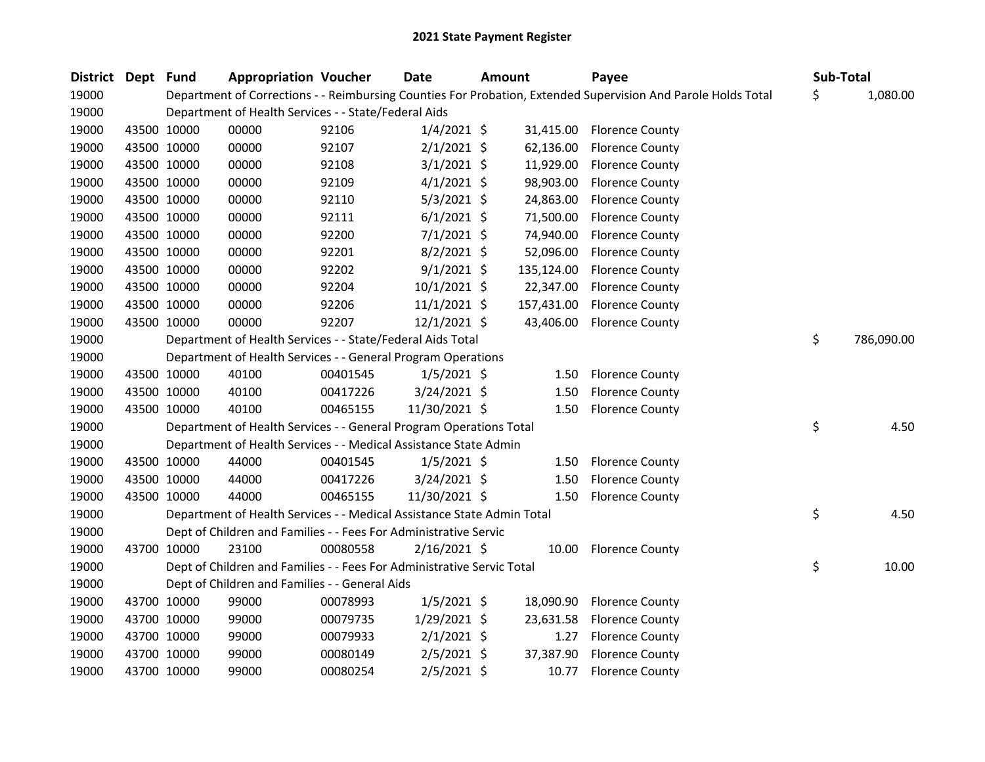| District Dept Fund |             | <b>Appropriation Voucher</b>                                           |          | <b>Date</b>    | Amount |            | Payee                                                                                                         | Sub-Total |            |
|--------------------|-------------|------------------------------------------------------------------------|----------|----------------|--------|------------|---------------------------------------------------------------------------------------------------------------|-----------|------------|
| 19000              |             |                                                                        |          |                |        |            | Department of Corrections - - Reimbursing Counties For Probation, Extended Supervision And Parole Holds Total | \$        | 1,080.00   |
| 19000              |             | Department of Health Services - - State/Federal Aids                   |          |                |        |            |                                                                                                               |           |            |
| 19000              | 43500 10000 | 00000                                                                  | 92106    | $1/4/2021$ \$  |        | 31,415.00  | <b>Florence County</b>                                                                                        |           |            |
| 19000              | 43500 10000 | 00000                                                                  | 92107    | $2/1/2021$ \$  |        | 62,136.00  | <b>Florence County</b>                                                                                        |           |            |
| 19000              | 43500 10000 | 00000                                                                  | 92108    | $3/1/2021$ \$  |        | 11,929.00  | <b>Florence County</b>                                                                                        |           |            |
| 19000              | 43500 10000 | 00000                                                                  | 92109    | $4/1/2021$ \$  |        | 98,903.00  | <b>Florence County</b>                                                                                        |           |            |
| 19000              | 43500 10000 | 00000                                                                  | 92110    | $5/3/2021$ \$  |        | 24,863.00  | <b>Florence County</b>                                                                                        |           |            |
| 19000              | 43500 10000 | 00000                                                                  | 92111    | $6/1/2021$ \$  |        | 71,500.00  | <b>Florence County</b>                                                                                        |           |            |
| 19000              | 43500 10000 | 00000                                                                  | 92200    | $7/1/2021$ \$  |        | 74,940.00  | <b>Florence County</b>                                                                                        |           |            |
| 19000              | 43500 10000 | 00000                                                                  | 92201    | $8/2/2021$ \$  |        | 52,096.00  | <b>Florence County</b>                                                                                        |           |            |
| 19000              | 43500 10000 | 00000                                                                  | 92202    | $9/1/2021$ \$  |        | 135,124.00 | <b>Florence County</b>                                                                                        |           |            |
| 19000              | 43500 10000 | 00000                                                                  | 92204    | $10/1/2021$ \$ |        | 22,347.00  | <b>Florence County</b>                                                                                        |           |            |
| 19000              | 43500 10000 | 00000                                                                  | 92206    | $11/1/2021$ \$ |        | 157,431.00 | <b>Florence County</b>                                                                                        |           |            |
| 19000              | 43500 10000 | 00000                                                                  | 92207    | 12/1/2021 \$   |        | 43,406.00  | <b>Florence County</b>                                                                                        |           |            |
| 19000              |             | Department of Health Services - - State/Federal Aids Total             |          |                |        |            |                                                                                                               | \$        | 786,090.00 |
| 19000              |             | Department of Health Services - - General Program Operations           |          |                |        |            |                                                                                                               |           |            |
| 19000              | 43500 10000 | 40100                                                                  | 00401545 | $1/5/2021$ \$  |        | 1.50       | <b>Florence County</b>                                                                                        |           |            |
| 19000              | 43500 10000 | 40100                                                                  | 00417226 | 3/24/2021 \$   |        | 1.50       | <b>Florence County</b>                                                                                        |           |            |
| 19000              | 43500 10000 | 40100                                                                  | 00465155 | 11/30/2021 \$  |        | 1.50       | <b>Florence County</b>                                                                                        |           |            |
| 19000              |             | Department of Health Services - - General Program Operations Total     |          |                |        |            |                                                                                                               | \$        | 4.50       |
| 19000              |             | Department of Health Services - - Medical Assistance State Admin       |          |                |        |            |                                                                                                               |           |            |
| 19000              | 43500 10000 | 44000                                                                  | 00401545 | $1/5/2021$ \$  |        | 1.50       | <b>Florence County</b>                                                                                        |           |            |
| 19000              | 43500 10000 | 44000                                                                  | 00417226 | $3/24/2021$ \$ |        | 1.50       | <b>Florence County</b>                                                                                        |           |            |
| 19000              | 43500 10000 | 44000                                                                  | 00465155 | 11/30/2021 \$  |        | 1.50       | <b>Florence County</b>                                                                                        |           |            |
| 19000              |             | Department of Health Services - - Medical Assistance State Admin Total |          |                |        |            |                                                                                                               | \$        | 4.50       |
| 19000              |             | Dept of Children and Families - - Fees For Administrative Servic       |          |                |        |            |                                                                                                               |           |            |
| 19000              | 43700 10000 | 23100                                                                  | 00080558 | $2/16/2021$ \$ |        |            | 10.00 Florence County                                                                                         |           |            |
| 19000              |             | Dept of Children and Families - - Fees For Administrative Servic Total |          |                |        |            |                                                                                                               | \$        | 10.00      |
| 19000              |             | Dept of Children and Families - - General Aids                         |          |                |        |            |                                                                                                               |           |            |
| 19000              | 43700 10000 | 99000                                                                  | 00078993 | $1/5/2021$ \$  |        | 18,090.90  | <b>Florence County</b>                                                                                        |           |            |
| 19000              | 43700 10000 | 99000                                                                  | 00079735 | 1/29/2021 \$   |        | 23,631.58  | <b>Florence County</b>                                                                                        |           |            |
| 19000              | 43700 10000 | 99000                                                                  | 00079933 | $2/1/2021$ \$  |        | 1.27       | <b>Florence County</b>                                                                                        |           |            |
| 19000              | 43700 10000 | 99000                                                                  | 00080149 | $2/5/2021$ \$  |        | 37,387.90  | <b>Florence County</b>                                                                                        |           |            |
| 19000              | 43700 10000 | 99000                                                                  | 00080254 | 2/5/2021 \$    |        | 10.77      | <b>Florence County</b>                                                                                        |           |            |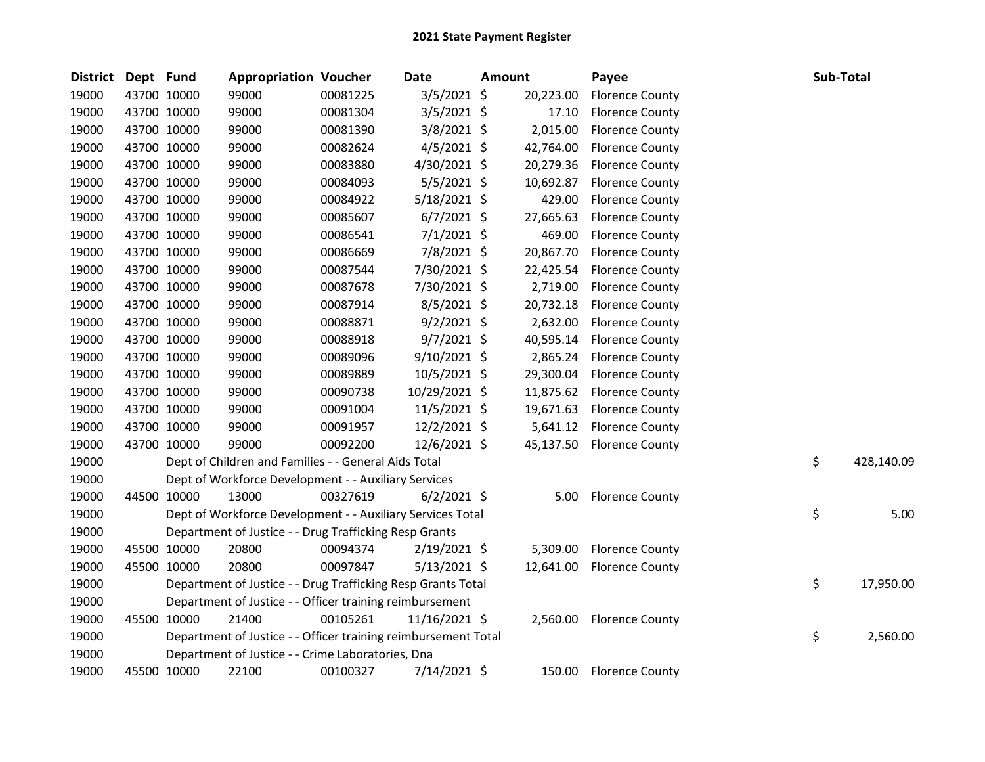| District | Dept Fund |             | <b>Appropriation Voucher</b>                                   |          | Date           | <b>Amount</b> |           | Payee                     | Sub-Total |            |
|----------|-----------|-------------|----------------------------------------------------------------|----------|----------------|---------------|-----------|---------------------------|-----------|------------|
| 19000    |           | 43700 10000 | 99000                                                          | 00081225 | $3/5/2021$ \$  |               | 20,223.00 | <b>Florence County</b>    |           |            |
| 19000    |           | 43700 10000 | 99000                                                          | 00081304 | $3/5/2021$ \$  |               | 17.10     | <b>Florence County</b>    |           |            |
| 19000    |           | 43700 10000 | 99000                                                          | 00081390 | $3/8/2021$ \$  |               | 2,015.00  | <b>Florence County</b>    |           |            |
| 19000    |           | 43700 10000 | 99000                                                          | 00082624 | $4/5/2021$ \$  |               | 42,764.00 | <b>Florence County</b>    |           |            |
| 19000    |           | 43700 10000 | 99000                                                          | 00083880 | 4/30/2021 \$   |               | 20,279.36 | <b>Florence County</b>    |           |            |
| 19000    |           | 43700 10000 | 99000                                                          | 00084093 | 5/5/2021 \$    |               | 10,692.87 | <b>Florence County</b>    |           |            |
| 19000    |           | 43700 10000 | 99000                                                          | 00084922 | 5/18/2021 \$   |               | 429.00    | <b>Florence County</b>    |           |            |
| 19000    |           | 43700 10000 | 99000                                                          | 00085607 | $6/7/2021$ \$  |               | 27,665.63 | <b>Florence County</b>    |           |            |
| 19000    |           | 43700 10000 | 99000                                                          | 00086541 | $7/1/2021$ \$  |               | 469.00    | <b>Florence County</b>    |           |            |
| 19000    |           | 43700 10000 | 99000                                                          | 00086669 | 7/8/2021 \$    |               | 20,867.70 | <b>Florence County</b>    |           |            |
| 19000    |           | 43700 10000 | 99000                                                          | 00087544 | 7/30/2021 \$   |               | 22,425.54 | <b>Florence County</b>    |           |            |
| 19000    |           | 43700 10000 | 99000                                                          | 00087678 | 7/30/2021 \$   |               | 2,719.00  | <b>Florence County</b>    |           |            |
| 19000    |           | 43700 10000 | 99000                                                          | 00087914 | 8/5/2021 \$    |               | 20,732.18 | <b>Florence County</b>    |           |            |
| 19000    |           | 43700 10000 | 99000                                                          | 00088871 | $9/2/2021$ \$  |               | 2,632.00  | <b>Florence County</b>    |           |            |
| 19000    |           | 43700 10000 | 99000                                                          | 00088918 | $9/7/2021$ \$  |               | 40,595.14 | <b>Florence County</b>    |           |            |
| 19000    |           | 43700 10000 | 99000                                                          | 00089096 | 9/10/2021 \$   |               | 2,865.24  | <b>Florence County</b>    |           |            |
| 19000    |           | 43700 10000 | 99000                                                          | 00089889 | 10/5/2021 \$   |               | 29,300.04 | <b>Florence County</b>    |           |            |
| 19000    |           | 43700 10000 | 99000                                                          | 00090738 | 10/29/2021 \$  |               | 11,875.62 | <b>Florence County</b>    |           |            |
| 19000    |           | 43700 10000 | 99000                                                          | 00091004 | $11/5/2021$ \$ |               | 19,671.63 | <b>Florence County</b>    |           |            |
| 19000    |           | 43700 10000 | 99000                                                          | 00091957 | 12/2/2021 \$   |               | 5,641.12  | <b>Florence County</b>    |           |            |
| 19000    |           | 43700 10000 | 99000                                                          | 00092200 | 12/6/2021 \$   |               | 45,137.50 | <b>Florence County</b>    |           |            |
| 19000    |           |             | Dept of Children and Families - - General Aids Total           |          |                |               |           |                           | \$        | 428,140.09 |
| 19000    |           |             | Dept of Workforce Development - - Auxiliary Services           |          |                |               |           |                           |           |            |
| 19000    |           | 44500 10000 | 13000                                                          | 00327619 | $6/2/2021$ \$  |               | 5.00      | <b>Florence County</b>    |           |            |
| 19000    |           |             | Dept of Workforce Development - - Auxiliary Services Total     |          |                |               |           |                           | \$        | 5.00       |
| 19000    |           |             | Department of Justice - - Drug Trafficking Resp Grants         |          |                |               |           |                           |           |            |
| 19000    |           | 45500 10000 | 20800                                                          | 00094374 | $2/19/2021$ \$ |               | 5,309.00  | <b>Florence County</b>    |           |            |
| 19000    |           | 45500 10000 | 20800                                                          | 00097847 | $5/13/2021$ \$ |               |           | 12,641.00 Florence County |           |            |
| 19000    |           |             | Department of Justice - - Drug Trafficking Resp Grants Total   |          |                |               |           |                           | \$        | 17,950.00  |
| 19000    |           |             | Department of Justice - - Officer training reimbursement       |          |                |               |           |                           |           |            |
| 19000    |           | 45500 10000 | 21400                                                          | 00105261 | 11/16/2021 \$  |               |           | 2,560.00 Florence County  |           |            |
| 19000    |           |             | Department of Justice - - Officer training reimbursement Total |          |                |               |           |                           | \$        | 2,560.00   |
| 19000    |           |             | Department of Justice - - Crime Laboratories, Dna              |          |                |               |           |                           |           |            |
| 19000    |           | 45500 10000 | 22100                                                          | 00100327 | 7/14/2021 \$   |               | 150.00    | <b>Florence County</b>    |           |            |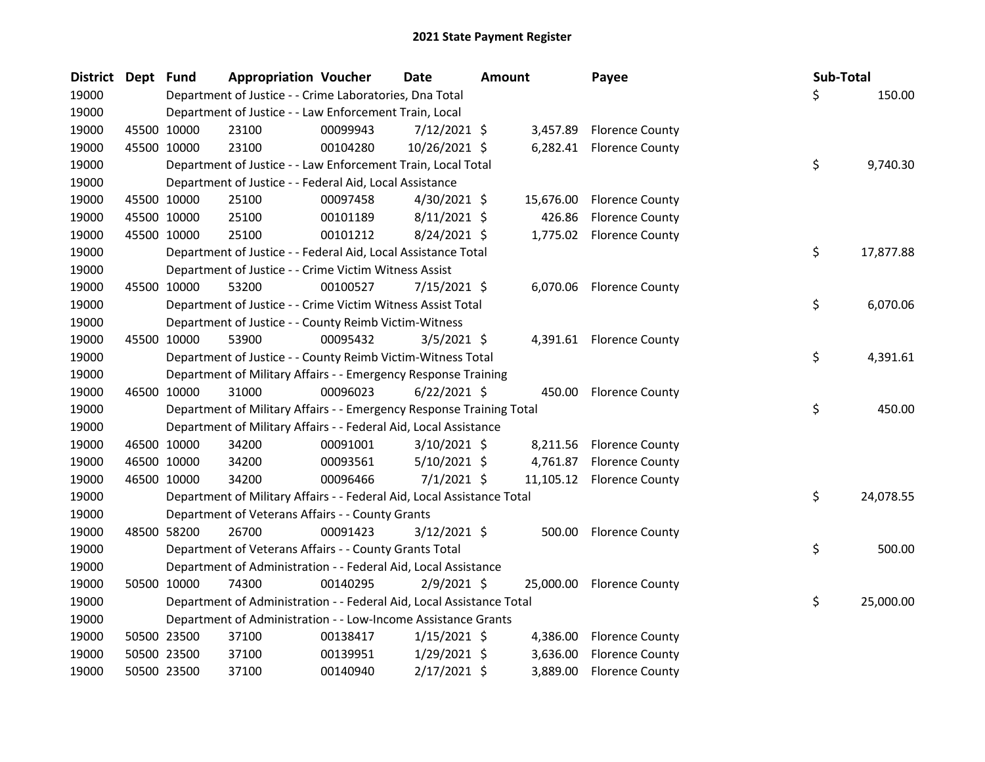| District Dept |             | <b>Fund</b> | <b>Appropriation Voucher</b>                                           |          | Date           | <b>Amount</b> |           | Payee                     | Sub-Total |           |
|---------------|-------------|-------------|------------------------------------------------------------------------|----------|----------------|---------------|-----------|---------------------------|-----------|-----------|
| 19000         |             |             | Department of Justice - - Crime Laboratories, Dna Total                |          |                |               |           |                           | Ś.        | 150.00    |
| 19000         |             |             | Department of Justice - - Law Enforcement Train, Local                 |          |                |               |           |                           |           |           |
| 19000         |             | 45500 10000 | 23100                                                                  | 00099943 | $7/12/2021$ \$ |               | 3,457.89  | <b>Florence County</b>    |           |           |
| 19000         |             | 45500 10000 | 23100                                                                  | 00104280 | 10/26/2021 \$  |               |           | 6,282.41 Florence County  |           |           |
| 19000         |             |             | Department of Justice - - Law Enforcement Train, Local Total           |          |                |               |           |                           | \$        | 9,740.30  |
| 19000         |             |             | Department of Justice - - Federal Aid, Local Assistance                |          |                |               |           |                           |           |           |
| 19000         |             | 45500 10000 | 25100                                                                  | 00097458 | $4/30/2021$ \$ |               | 15,676.00 | <b>Florence County</b>    |           |           |
| 19000         |             | 45500 10000 | 25100                                                                  | 00101189 | $8/11/2021$ \$ |               | 426.86    | <b>Florence County</b>    |           |           |
| 19000         |             | 45500 10000 | 25100                                                                  | 00101212 | $8/24/2021$ \$ |               |           | 1,775.02 Florence County  |           |           |
| 19000         |             |             | Department of Justice - - Federal Aid, Local Assistance Total          |          |                |               |           |                           | \$        | 17,877.88 |
| 19000         |             |             | Department of Justice - - Crime Victim Witness Assist                  |          |                |               |           |                           |           |           |
| 19000         |             | 45500 10000 | 53200                                                                  | 00100527 | $7/15/2021$ \$ |               |           | 6,070.06 Florence County  |           |           |
| 19000         |             |             | Department of Justice - - Crime Victim Witness Assist Total            |          |                |               |           |                           | \$        | 6,070.06  |
| 19000         |             |             | Department of Justice - - County Reimb Victim-Witness                  |          |                |               |           |                           |           |           |
| 19000         |             | 45500 10000 | 53900                                                                  | 00095432 | $3/5/2021$ \$  |               |           | 4,391.61 Florence County  |           |           |
| 19000         |             |             | Department of Justice - - County Reimb Victim-Witness Total            |          |                |               |           |                           | \$        | 4,391.61  |
| 19000         |             |             | Department of Military Affairs - - Emergency Response Training         |          |                |               |           |                           |           |           |
| 19000         |             | 46500 10000 | 31000                                                                  | 00096023 | $6/22/2021$ \$ |               | 450.00    | <b>Florence County</b>    |           |           |
| 19000         |             |             | Department of Military Affairs - - Emergency Response Training Total   |          |                |               |           |                           | \$        | 450.00    |
| 19000         |             |             | Department of Military Affairs - - Federal Aid, Local Assistance       |          |                |               |           |                           |           |           |
| 19000         |             | 46500 10000 | 34200                                                                  | 00091001 | 3/10/2021 \$   |               | 8,211.56  | <b>Florence County</b>    |           |           |
| 19000         |             | 46500 10000 | 34200                                                                  | 00093561 | $5/10/2021$ \$ |               |           | 4,761.87 Florence County  |           |           |
| 19000         |             | 46500 10000 | 34200                                                                  | 00096466 | $7/1/2021$ \$  |               |           | 11,105.12 Florence County |           |           |
| 19000         |             |             | Department of Military Affairs - - Federal Aid, Local Assistance Total |          |                |               |           |                           | \$        | 24,078.55 |
| 19000         |             |             | Department of Veterans Affairs - - County Grants                       |          |                |               |           |                           |           |           |
| 19000         |             | 48500 58200 | 26700                                                                  | 00091423 | $3/12/2021$ \$ |               |           | 500.00 Florence County    |           |           |
| 19000         |             |             | Department of Veterans Affairs - - County Grants Total                 |          |                |               |           |                           | \$        | 500.00    |
| 19000         |             |             | Department of Administration - - Federal Aid, Local Assistance         |          |                |               |           |                           |           |           |
| 19000         |             | 50500 10000 | 74300                                                                  | 00140295 | $2/9/2021$ \$  |               |           | 25,000.00 Florence County |           |           |
| 19000         |             |             | Department of Administration - - Federal Aid, Local Assistance Total   |          |                |               |           |                           | \$        | 25,000.00 |
| 19000         |             |             | Department of Administration - - Low-Income Assistance Grants          |          |                |               |           |                           |           |           |
| 19000         |             | 50500 23500 | 37100                                                                  | 00138417 | $1/15/2021$ \$ |               | 4,386.00  | <b>Florence County</b>    |           |           |
| 19000         |             | 50500 23500 | 37100                                                                  | 00139951 | $1/29/2021$ \$ |               | 3,636.00  | <b>Florence County</b>    |           |           |
| 19000         | 50500 23500 |             | 37100                                                                  | 00140940 | 2/17/2021 \$   |               | 3,889.00  | <b>Florence County</b>    |           |           |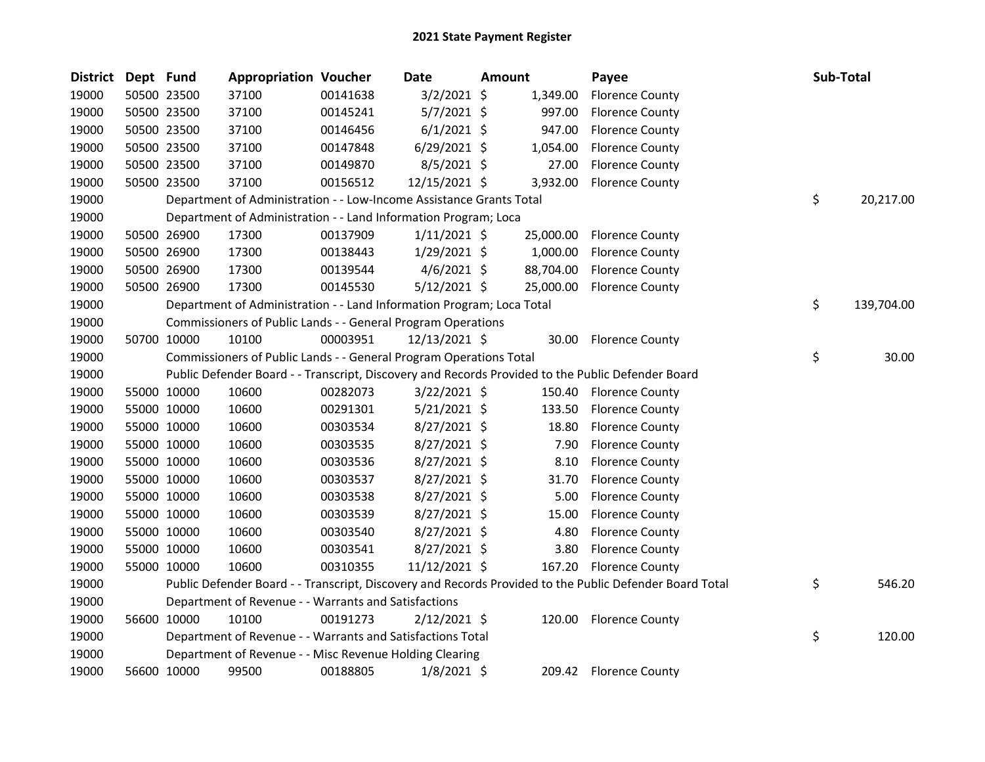| <b>District</b> | Dept Fund |             | <b>Appropriation Voucher</b>                                          |          | Date           | Amount |           | Payee                                                                                                   | <b>Sub-Total</b> |            |
|-----------------|-----------|-------------|-----------------------------------------------------------------------|----------|----------------|--------|-----------|---------------------------------------------------------------------------------------------------------|------------------|------------|
| 19000           |           | 50500 23500 | 37100                                                                 | 00141638 | $3/2/2021$ \$  |        | 1,349.00  | <b>Florence County</b>                                                                                  |                  |            |
| 19000           |           | 50500 23500 | 37100                                                                 | 00145241 | $5/7/2021$ \$  |        | 997.00    | <b>Florence County</b>                                                                                  |                  |            |
| 19000           |           | 50500 23500 | 37100                                                                 | 00146456 | $6/1/2021$ \$  |        | 947.00    | <b>Florence County</b>                                                                                  |                  |            |
| 19000           |           | 50500 23500 | 37100                                                                 | 00147848 | $6/29/2021$ \$ |        | 1,054.00  | <b>Florence County</b>                                                                                  |                  |            |
| 19000           |           | 50500 23500 | 37100                                                                 | 00149870 | $8/5/2021$ \$  |        | 27.00     | <b>Florence County</b>                                                                                  |                  |            |
| 19000           |           | 50500 23500 | 37100                                                                 | 00156512 | 12/15/2021 \$  |        | 3,932.00  | <b>Florence County</b>                                                                                  |                  |            |
| 19000           |           |             | Department of Administration - - Low-Income Assistance Grants Total   |          |                |        |           |                                                                                                         | \$               | 20,217.00  |
| 19000           |           |             | Department of Administration - - Land Information Program; Loca       |          |                |        |           |                                                                                                         |                  |            |
| 19000           |           | 50500 26900 | 17300                                                                 | 00137909 | $1/11/2021$ \$ |        | 25,000.00 | <b>Florence County</b>                                                                                  |                  |            |
| 19000           |           | 50500 26900 | 17300                                                                 | 00138443 | $1/29/2021$ \$ |        | 1,000.00  | <b>Florence County</b>                                                                                  |                  |            |
| 19000           |           | 50500 26900 | 17300                                                                 | 00139544 | $4/6/2021$ \$  |        | 88,704.00 | <b>Florence County</b>                                                                                  |                  |            |
| 19000           |           | 50500 26900 | 17300                                                                 | 00145530 | $5/12/2021$ \$ |        | 25,000.00 | <b>Florence County</b>                                                                                  |                  |            |
| 19000           |           |             | Department of Administration - - Land Information Program; Loca Total |          |                |        |           |                                                                                                         | \$               | 139,704.00 |
| 19000           |           |             | Commissioners of Public Lands - - General Program Operations          |          |                |        |           |                                                                                                         |                  |            |
| 19000           |           | 50700 10000 | 10100                                                                 | 00003951 | 12/13/2021 \$  |        |           | 30.00 Florence County                                                                                   |                  |            |
| 19000           |           |             | Commissioners of Public Lands - - General Program Operations Total    |          |                |        |           |                                                                                                         | \$               | 30.00      |
| 19000           |           |             |                                                                       |          |                |        |           | Public Defender Board - - Transcript, Discovery and Records Provided to the Public Defender Board       |                  |            |
| 19000           |           | 55000 10000 | 10600                                                                 | 00282073 | $3/22/2021$ \$ |        |           | 150.40 Florence County                                                                                  |                  |            |
| 19000           |           | 55000 10000 | 10600                                                                 | 00291301 | $5/21/2021$ \$ |        | 133.50    | <b>Florence County</b>                                                                                  |                  |            |
| 19000           |           | 55000 10000 | 10600                                                                 | 00303534 | $8/27/2021$ \$ |        | 18.80     | <b>Florence County</b>                                                                                  |                  |            |
| 19000           |           | 55000 10000 | 10600                                                                 | 00303535 | 8/27/2021 \$   |        | 7.90      | <b>Florence County</b>                                                                                  |                  |            |
| 19000           |           | 55000 10000 | 10600                                                                 | 00303536 | $8/27/2021$ \$ |        | 8.10      | <b>Florence County</b>                                                                                  |                  |            |
| 19000           |           | 55000 10000 | 10600                                                                 | 00303537 | 8/27/2021 \$   |        | 31.70     | <b>Florence County</b>                                                                                  |                  |            |
| 19000           |           | 55000 10000 | 10600                                                                 | 00303538 | 8/27/2021 \$   |        | 5.00      | <b>Florence County</b>                                                                                  |                  |            |
| 19000           |           | 55000 10000 | 10600                                                                 | 00303539 | 8/27/2021 \$   |        | 15.00     | <b>Florence County</b>                                                                                  |                  |            |
| 19000           |           | 55000 10000 | 10600                                                                 | 00303540 | 8/27/2021 \$   |        | 4.80      | <b>Florence County</b>                                                                                  |                  |            |
| 19000           |           | 55000 10000 | 10600                                                                 | 00303541 | 8/27/2021 \$   |        | 3.80      | <b>Florence County</b>                                                                                  |                  |            |
| 19000           |           | 55000 10000 | 10600                                                                 | 00310355 | 11/12/2021 \$  |        | 167.20    | <b>Florence County</b>                                                                                  |                  |            |
| 19000           |           |             |                                                                       |          |                |        |           | Public Defender Board - - Transcript, Discovery and Records Provided to the Public Defender Board Total | \$               | 546.20     |
| 19000           |           |             | Department of Revenue - - Warrants and Satisfactions                  |          |                |        |           |                                                                                                         |                  |            |
| 19000           |           | 56600 10000 | 10100                                                                 | 00191273 | $2/12/2021$ \$ |        |           | 120.00 Florence County                                                                                  |                  |            |
| 19000           |           |             | Department of Revenue - - Warrants and Satisfactions Total            |          |                |        |           |                                                                                                         | \$               | 120.00     |
| 19000           |           |             | Department of Revenue - - Misc Revenue Holding Clearing               |          |                |        |           |                                                                                                         |                  |            |
| 19000           |           | 56600 10000 | 99500                                                                 | 00188805 | $1/8/2021$ \$  |        |           | 209.42 Florence County                                                                                  |                  |            |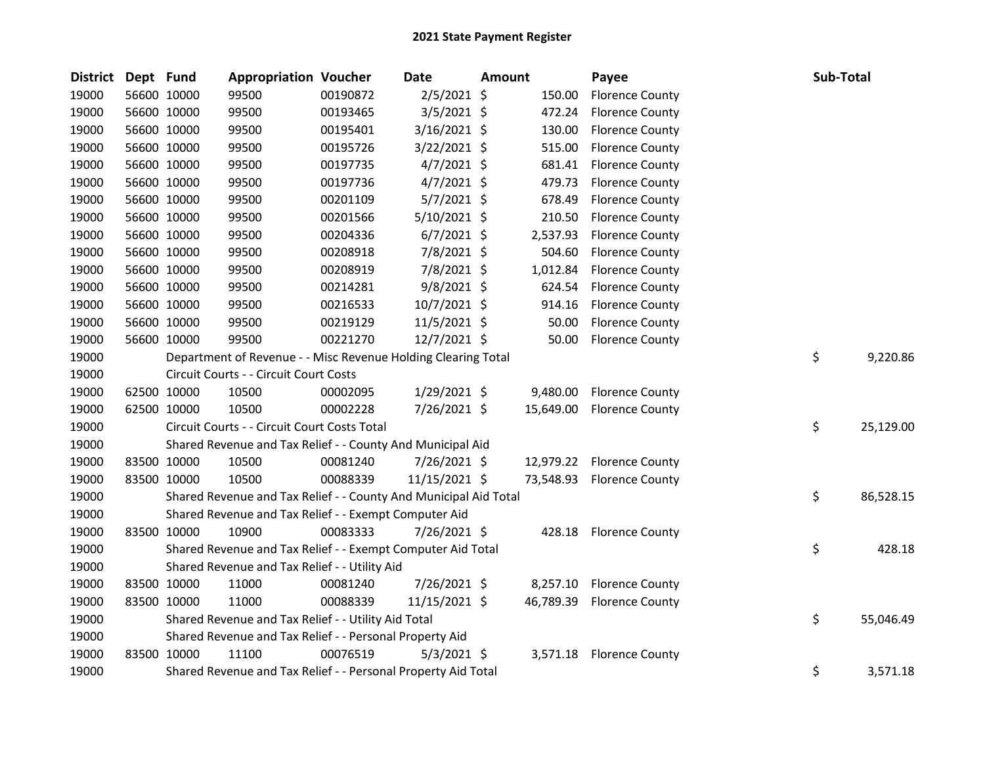| <b>District</b> | Dept Fund |             | <b>Appropriation Voucher</b>                                     |          | Date          | Amount |           | Payee                     | Sub-Total |           |
|-----------------|-----------|-------------|------------------------------------------------------------------|----------|---------------|--------|-----------|---------------------------|-----------|-----------|
| 19000           |           | 56600 10000 | 99500                                                            | 00190872 | $2/5/2021$ \$ |        | 150.00    | <b>Florence County</b>    |           |           |
| 19000           |           | 56600 10000 | 99500                                                            | 00193465 | $3/5/2021$ \$ |        | 472.24    | <b>Florence County</b>    |           |           |
| 19000           |           | 56600 10000 | 99500                                                            | 00195401 | 3/16/2021 \$  |        | 130.00    | <b>Florence County</b>    |           |           |
| 19000           |           | 56600 10000 | 99500                                                            | 00195726 | 3/22/2021 \$  |        | 515.00    | <b>Florence County</b>    |           |           |
| 19000           |           | 56600 10000 | 99500                                                            | 00197735 | $4/7/2021$ \$ |        | 681.41    | <b>Florence County</b>    |           |           |
| 19000           |           | 56600 10000 | 99500                                                            | 00197736 | $4/7/2021$ \$ |        | 479.73    | <b>Florence County</b>    |           |           |
| 19000           |           | 56600 10000 | 99500                                                            | 00201109 | 5/7/2021 \$   |        | 678.49    | <b>Florence County</b>    |           |           |
| 19000           |           | 56600 10000 | 99500                                                            | 00201566 | 5/10/2021 \$  |        | 210.50    | <b>Florence County</b>    |           |           |
| 19000           |           | 56600 10000 | 99500                                                            | 00204336 | $6/7/2021$ \$ |        | 2,537.93  | <b>Florence County</b>    |           |           |
| 19000           |           | 56600 10000 | 99500                                                            | 00208918 | 7/8/2021 \$   |        | 504.60    | <b>Florence County</b>    |           |           |
| 19000           |           | 56600 10000 | 99500                                                            | 00208919 | 7/8/2021 \$   |        | 1,012.84  | <b>Florence County</b>    |           |           |
| 19000           |           | 56600 10000 | 99500                                                            | 00214281 | $9/8/2021$ \$ |        | 624.54    | <b>Florence County</b>    |           |           |
| 19000           |           | 56600 10000 | 99500                                                            | 00216533 | 10/7/2021 \$  |        | 914.16    | <b>Florence County</b>    |           |           |
| 19000           |           | 56600 10000 | 99500                                                            | 00219129 | 11/5/2021 \$  |        | 50.00     | <b>Florence County</b>    |           |           |
| 19000           |           | 56600 10000 | 99500                                                            | 00221270 | 12/7/2021 \$  |        | 50.00     | <b>Florence County</b>    |           |           |
| 19000           |           |             | Department of Revenue - - Misc Revenue Holding Clearing Total    |          |               |        |           |                           | \$        | 9,220.86  |
| 19000           |           |             | Circuit Courts - - Circuit Court Costs                           |          |               |        |           |                           |           |           |
| 19000           |           | 62500 10000 | 10500                                                            | 00002095 | 1/29/2021 \$  |        | 9,480.00  | <b>Florence County</b>    |           |           |
| 19000           |           | 62500 10000 | 10500                                                            | 00002228 | 7/26/2021 \$  |        | 15,649.00 | <b>Florence County</b>    |           |           |
| 19000           |           |             | Circuit Courts - - Circuit Court Costs Total                     |          |               |        |           |                           | \$        | 25,129.00 |
| 19000           |           |             | Shared Revenue and Tax Relief - - County And Municipal Aid       |          |               |        |           |                           |           |           |
| 19000           |           | 83500 10000 | 10500                                                            | 00081240 | 7/26/2021 \$  |        |           | 12,979.22 Florence County |           |           |
| 19000           |           | 83500 10000 | 10500                                                            | 00088339 | 11/15/2021 \$ |        |           | 73,548.93 Florence County |           |           |
| 19000           |           |             | Shared Revenue and Tax Relief - - County And Municipal Aid Total |          |               |        |           |                           | \$        | 86,528.15 |
| 19000           |           |             | Shared Revenue and Tax Relief - - Exempt Computer Aid            |          |               |        |           |                           |           |           |
| 19000           |           | 83500 10000 | 10900                                                            | 00083333 | 7/26/2021 \$  |        | 428.18    | <b>Florence County</b>    |           |           |
| 19000           |           |             | Shared Revenue and Tax Relief - - Exempt Computer Aid Total      |          |               |        |           |                           | \$        | 428.18    |
| 19000           |           |             | Shared Revenue and Tax Relief - - Utility Aid                    |          |               |        |           |                           |           |           |
| 19000           |           | 83500 10000 | 11000                                                            | 00081240 | 7/26/2021 \$  |        | 8,257.10  | <b>Florence County</b>    |           |           |
| 19000           |           | 83500 10000 | 11000                                                            | 00088339 | 11/15/2021 \$ |        | 46,789.39 | <b>Florence County</b>    |           |           |
| 19000           |           |             | Shared Revenue and Tax Relief - - Utility Aid Total              |          |               |        |           |                           | \$        | 55,046.49 |
| 19000           |           |             | Shared Revenue and Tax Relief - - Personal Property Aid          |          |               |        |           |                           |           |           |
| 19000           |           | 83500 10000 | 11100                                                            | 00076519 | $5/3/2021$ \$ |        | 3,571.18  | <b>Florence County</b>    |           |           |
| 19000           |           |             | Shared Revenue and Tax Relief - - Personal Property Aid Total    |          |               |        |           |                           | \$        | 3,571.18  |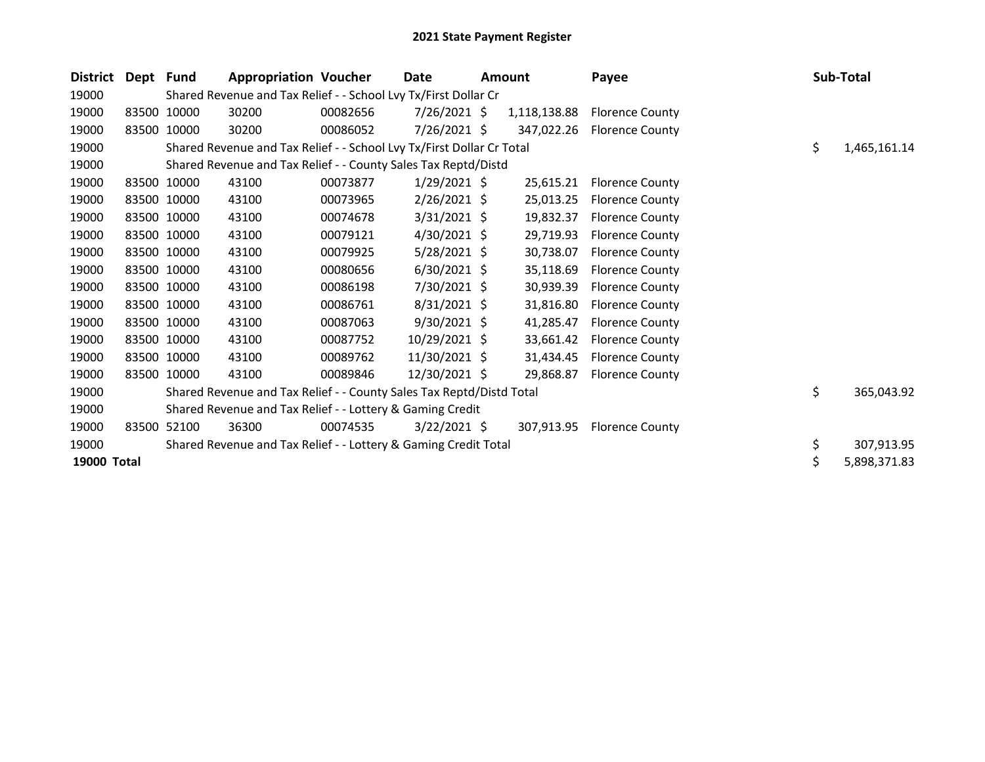| <b>District</b> | Dept Fund |             | <b>Appropriation Voucher</b>                                          |          | Date           | <b>Amount</b> |              | Payee                  | Sub-Total          |
|-----------------|-----------|-------------|-----------------------------------------------------------------------|----------|----------------|---------------|--------------|------------------------|--------------------|
| 19000           |           |             | Shared Revenue and Tax Relief - - School Lvy Tx/First Dollar Cr       |          |                |               |              |                        |                    |
| 19000           |           | 83500 10000 | 30200                                                                 | 00082656 | $7/26/2021$ \$ |               | 1,118,138.88 | <b>Florence County</b> |                    |
| 19000           |           | 83500 10000 | 30200                                                                 | 00086052 | 7/26/2021 \$   |               | 347,022.26   | <b>Florence County</b> |                    |
| 19000           |           |             | Shared Revenue and Tax Relief - - School Lvy Tx/First Dollar Cr Total |          |                |               |              |                        | \$<br>1,465,161.14 |
| 19000           |           |             | Shared Revenue and Tax Relief - - County Sales Tax Reptd/Distd        |          |                |               |              |                        |                    |
| 19000           |           | 83500 10000 | 43100                                                                 | 00073877 | $1/29/2021$ \$ |               | 25,615.21    | <b>Florence County</b> |                    |
| 19000           |           | 83500 10000 | 43100                                                                 | 00073965 | $2/26/2021$ \$ |               | 25,013.25    | <b>Florence County</b> |                    |
| 19000           |           | 83500 10000 | 43100                                                                 | 00074678 | $3/31/2021$ \$ |               | 19,832.37    | <b>Florence County</b> |                    |
| 19000           |           | 83500 10000 | 43100                                                                 | 00079121 | $4/30/2021$ \$ |               | 29,719.93    | <b>Florence County</b> |                    |
| 19000           |           | 83500 10000 | 43100                                                                 | 00079925 | $5/28/2021$ \$ |               | 30,738.07    | <b>Florence County</b> |                    |
| 19000           |           | 83500 10000 | 43100                                                                 | 00080656 | $6/30/2021$ \$ |               | 35,118.69    | <b>Florence County</b> |                    |
| 19000           |           | 83500 10000 | 43100                                                                 | 00086198 | 7/30/2021 \$   |               | 30,939.39    | <b>Florence County</b> |                    |
| 19000           |           | 83500 10000 | 43100                                                                 | 00086761 | $8/31/2021$ \$ |               | 31,816.80    | <b>Florence County</b> |                    |
| 19000           |           | 83500 10000 | 43100                                                                 | 00087063 | 9/30/2021 \$   |               | 41,285.47    | <b>Florence County</b> |                    |
| 19000           |           | 83500 10000 | 43100                                                                 | 00087752 | 10/29/2021 \$  |               | 33,661.42    | <b>Florence County</b> |                    |
| 19000           |           | 83500 10000 | 43100                                                                 | 00089762 | 11/30/2021 \$  |               | 31,434.45    | <b>Florence County</b> |                    |
| 19000           |           | 83500 10000 | 43100                                                                 | 00089846 | 12/30/2021 \$  |               | 29,868.87    | <b>Florence County</b> |                    |
| 19000           |           |             | Shared Revenue and Tax Relief - - County Sales Tax Reptd/Distd Total  |          |                |               |              |                        | \$<br>365,043.92   |
| 19000           |           |             | Shared Revenue and Tax Relief - - Lottery & Gaming Credit             |          |                |               |              |                        |                    |
| 19000           | 83500     | 52100       | 36300                                                                 | 00074535 | $3/22/2021$ \$ |               | 307,913.95   | <b>Florence County</b> |                    |
| 19000           |           |             | Shared Revenue and Tax Relief - - Lottery & Gaming Credit Total       |          |                |               |              |                        | \$<br>307,913.95   |
| 19000 Total     |           |             |                                                                       |          |                |               |              |                        | \$<br>5,898,371.83 |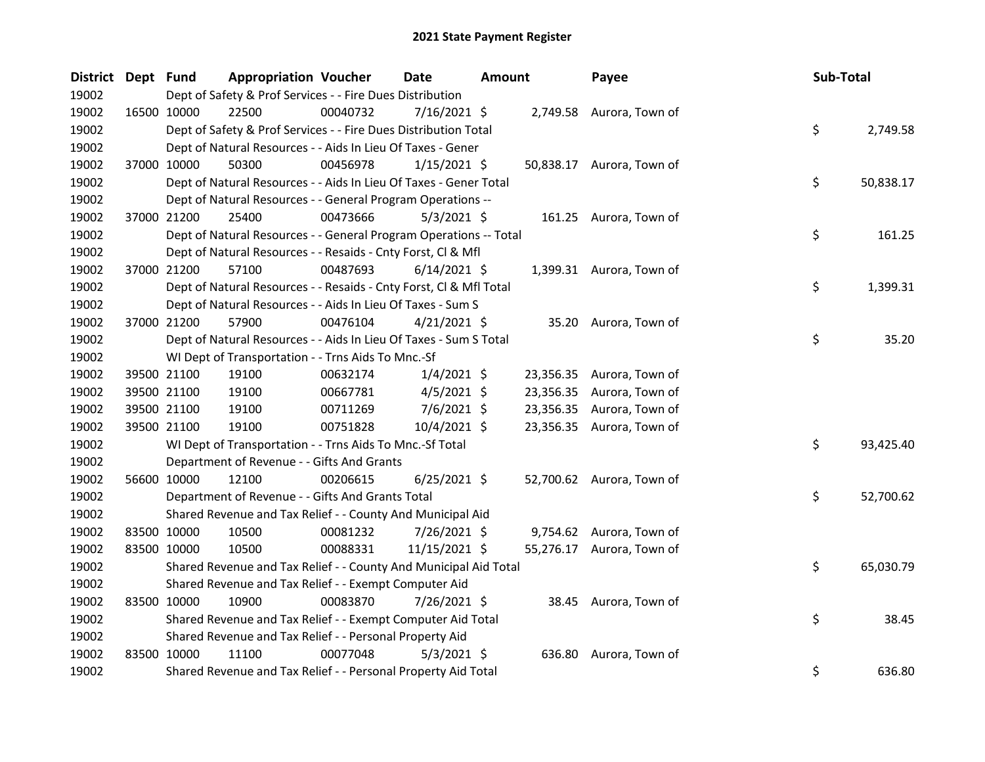| District Dept Fund |             | <b>Appropriation Voucher</b>                                       |          | <b>Date</b>    | <b>Amount</b> |           | Payee                     | Sub-Total |           |
|--------------------|-------------|--------------------------------------------------------------------|----------|----------------|---------------|-----------|---------------------------|-----------|-----------|
| 19002              |             | Dept of Safety & Prof Services - - Fire Dues Distribution          |          |                |               |           |                           |           |           |
| 19002              | 16500 10000 | 22500                                                              | 00040732 | 7/16/2021 \$   |               |           | 2,749.58 Aurora, Town of  |           |           |
| 19002              |             | Dept of Safety & Prof Services - - Fire Dues Distribution Total    |          |                |               |           |                           | \$        | 2,749.58  |
| 19002              |             | Dept of Natural Resources - - Aids In Lieu Of Taxes - Gener        |          |                |               |           |                           |           |           |
| 19002              | 37000 10000 | 50300                                                              | 00456978 | $1/15/2021$ \$ |               |           | 50,838.17 Aurora, Town of |           |           |
| 19002              |             | Dept of Natural Resources - - Aids In Lieu Of Taxes - Gener Total  |          |                |               |           |                           | \$        | 50,838.17 |
| 19002              |             | Dept of Natural Resources - - General Program Operations --        |          |                |               |           |                           |           |           |
| 19002              | 37000 21200 | 25400                                                              | 00473666 | $5/3/2021$ \$  |               |           | 161.25 Aurora, Town of    |           |           |
| 19002              |             | Dept of Natural Resources - - General Program Operations -- Total  |          |                |               |           |                           | \$        | 161.25    |
| 19002              |             | Dept of Natural Resources - - Resaids - Cnty Forst, Cl & Mfl       |          |                |               |           |                           |           |           |
| 19002              | 37000 21200 | 57100                                                              | 00487693 | $6/14/2021$ \$ |               |           | 1,399.31 Aurora, Town of  |           |           |
| 19002              |             | Dept of Natural Resources - - Resaids - Cnty Forst, CI & Mfl Total |          |                |               |           |                           | \$        | 1,399.31  |
| 19002              |             | Dept of Natural Resources - - Aids In Lieu Of Taxes - Sum S        |          |                |               |           |                           |           |           |
| 19002              | 37000 21200 | 57900                                                              | 00476104 | $4/21/2021$ \$ |               |           | 35.20 Aurora, Town of     |           |           |
| 19002              |             | Dept of Natural Resources - - Aids In Lieu Of Taxes - Sum S Total  |          |                |               |           |                           | \$        | 35.20     |
| 19002              |             | WI Dept of Transportation - - Trns Aids To Mnc.-Sf                 |          |                |               |           |                           |           |           |
| 19002              | 39500 21100 | 19100                                                              | 00632174 | $1/4/2021$ \$  |               |           | 23,356.35 Aurora, Town of |           |           |
| 19002              | 39500 21100 | 19100                                                              | 00667781 | $4/5/2021$ \$  |               | 23,356.35 | Aurora, Town of           |           |           |
| 19002              | 39500 21100 | 19100                                                              | 00711269 | $7/6/2021$ \$  |               |           | 23,356.35 Aurora, Town of |           |           |
| 19002              | 39500 21100 | 19100                                                              | 00751828 | 10/4/2021 \$   |               |           | 23,356.35 Aurora, Town of |           |           |
| 19002              |             | WI Dept of Transportation - - Trns Aids To Mnc.-Sf Total           |          |                |               |           |                           | \$        | 93,425.40 |
| 19002              |             | Department of Revenue - - Gifts And Grants                         |          |                |               |           |                           |           |           |
| 19002              | 56600 10000 | 12100                                                              | 00206615 | $6/25/2021$ \$ |               |           | 52,700.62 Aurora, Town of |           |           |
| 19002              |             | Department of Revenue - - Gifts And Grants Total                   |          |                |               |           |                           | \$        | 52,700.62 |
| 19002              |             | Shared Revenue and Tax Relief - - County And Municipal Aid         |          |                |               |           |                           |           |           |
| 19002              | 83500 10000 | 10500                                                              | 00081232 | 7/26/2021 \$   |               |           | 9,754.62 Aurora, Town of  |           |           |
| 19002              | 83500 10000 | 10500                                                              | 00088331 | 11/15/2021 \$  |               |           | 55,276.17 Aurora, Town of |           |           |
| 19002              |             | Shared Revenue and Tax Relief - - County And Municipal Aid Total   |          |                |               |           |                           | \$        | 65,030.79 |
| 19002              |             | Shared Revenue and Tax Relief - - Exempt Computer Aid              |          |                |               |           |                           |           |           |
| 19002              | 83500 10000 | 10900                                                              | 00083870 | 7/26/2021 \$   |               |           | 38.45 Aurora, Town of     |           |           |
| 19002              |             | Shared Revenue and Tax Relief - - Exempt Computer Aid Total        |          |                |               |           |                           | \$        | 38.45     |
| 19002              |             | Shared Revenue and Tax Relief - - Personal Property Aid            |          |                |               |           |                           |           |           |
| 19002              | 83500 10000 | 11100                                                              | 00077048 | $5/3/2021$ \$  |               |           | 636.80 Aurora, Town of    |           |           |
| 19002              |             | Shared Revenue and Tax Relief - - Personal Property Aid Total      |          |                |               |           |                           | \$        | 636.80    |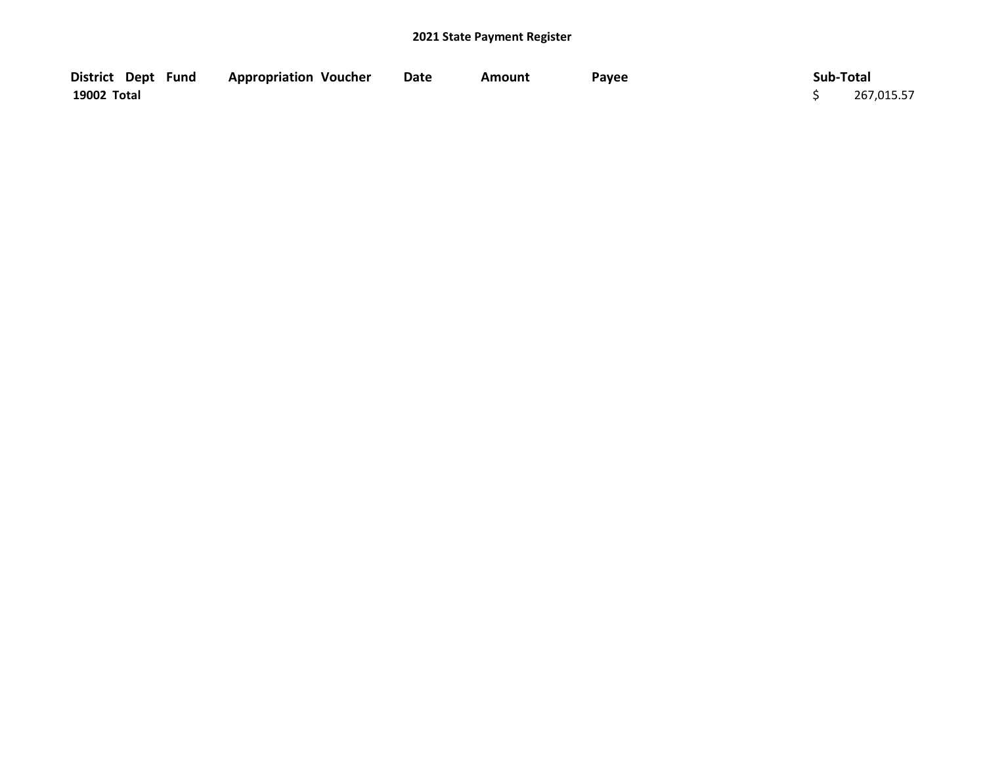| District Dept Fund | <b>Appropriation Voucher</b> | <b>Date</b> | Amount | Payee | Sub-Total  |
|--------------------|------------------------------|-------------|--------|-------|------------|
| 19002 Total        |                              |             |        |       | 267,015.57 |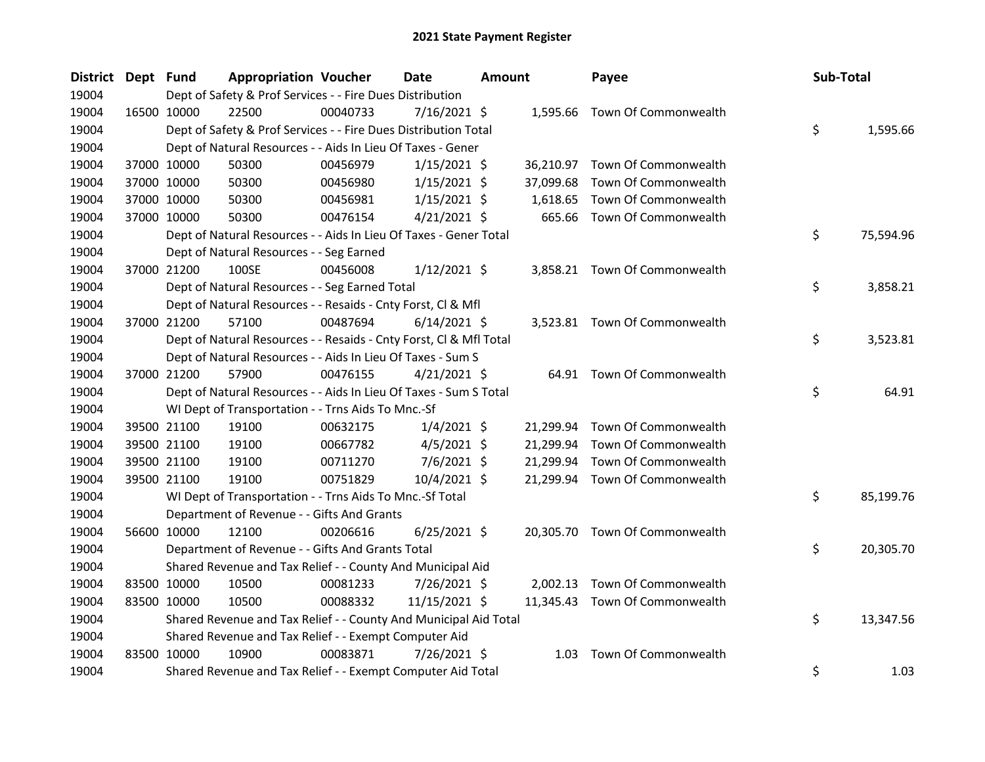| District Dept Fund |             |             | <b>Appropriation Voucher</b>                                       |          | <b>Date</b>    | <b>Amount</b> |           | Payee                          | Sub-Total       |
|--------------------|-------------|-------------|--------------------------------------------------------------------|----------|----------------|---------------|-----------|--------------------------------|-----------------|
| 19004              |             |             | Dept of Safety & Prof Services - - Fire Dues Distribution          |          |                |               |           |                                |                 |
| 19004              | 16500 10000 |             | 22500                                                              | 00040733 | $7/16/2021$ \$ |               |           | 1,595.66 Town Of Commonwealth  |                 |
| 19004              |             |             | Dept of Safety & Prof Services - - Fire Dues Distribution Total    |          |                |               |           |                                | \$<br>1,595.66  |
| 19004              |             |             | Dept of Natural Resources - - Aids In Lieu Of Taxes - Gener        |          |                |               |           |                                |                 |
| 19004              |             | 37000 10000 | 50300                                                              | 00456979 | $1/15/2021$ \$ |               |           | 36,210.97 Town Of Commonwealth |                 |
| 19004              |             | 37000 10000 | 50300                                                              | 00456980 | $1/15/2021$ \$ |               | 37,099.68 | Town Of Commonwealth           |                 |
| 19004              |             | 37000 10000 | 50300                                                              | 00456981 | $1/15/2021$ \$ |               | 1,618.65  | Town Of Commonwealth           |                 |
| 19004              |             | 37000 10000 | 50300                                                              | 00476154 | $4/21/2021$ \$ |               |           | 665.66 Town Of Commonwealth    |                 |
| 19004              |             |             | Dept of Natural Resources - - Aids In Lieu Of Taxes - Gener Total  |          |                |               |           |                                | \$<br>75,594.96 |
| 19004              |             |             | Dept of Natural Resources - - Seg Earned                           |          |                |               |           |                                |                 |
| 19004              |             | 37000 21200 | 100SE                                                              | 00456008 | $1/12/2021$ \$ |               |           | 3,858.21 Town Of Commonwealth  |                 |
| 19004              |             |             | Dept of Natural Resources - - Seg Earned Total                     |          |                |               |           |                                | \$<br>3,858.21  |
| 19004              |             |             | Dept of Natural Resources - - Resaids - Cnty Forst, Cl & Mfl       |          |                |               |           |                                |                 |
| 19004              |             | 37000 21200 | 57100                                                              | 00487694 | $6/14/2021$ \$ |               |           | 3,523.81 Town Of Commonwealth  |                 |
| 19004              |             |             | Dept of Natural Resources - - Resaids - Cnty Forst, Cl & Mfl Total |          |                |               |           |                                | \$<br>3,523.81  |
| 19004              |             |             | Dept of Natural Resources - - Aids In Lieu Of Taxes - Sum S        |          |                |               |           |                                |                 |
| 19004              |             | 37000 21200 | 57900                                                              | 00476155 | $4/21/2021$ \$ |               |           | 64.91 Town Of Commonwealth     |                 |
| 19004              |             |             | Dept of Natural Resources - - Aids In Lieu Of Taxes - Sum S Total  |          |                |               |           |                                | \$<br>64.91     |
| 19004              |             |             | WI Dept of Transportation - - Trns Aids To Mnc.-Sf                 |          |                |               |           |                                |                 |
| 19004              |             | 39500 21100 | 19100                                                              | 00632175 | $1/4/2021$ \$  |               |           | 21,299.94 Town Of Commonwealth |                 |
| 19004              |             | 39500 21100 | 19100                                                              | 00667782 | $4/5/2021$ \$  |               |           | 21,299.94 Town Of Commonwealth |                 |
| 19004              |             | 39500 21100 | 19100                                                              | 00711270 | $7/6/2021$ \$  |               | 21,299.94 | Town Of Commonwealth           |                 |
| 19004              |             | 39500 21100 | 19100                                                              | 00751829 | 10/4/2021 \$   |               |           | 21,299.94 Town Of Commonwealth |                 |
| 19004              |             |             | WI Dept of Transportation - - Trns Aids To Mnc.-Sf Total           |          |                |               |           |                                | \$<br>85,199.76 |
| 19004              |             |             | Department of Revenue - - Gifts And Grants                         |          |                |               |           |                                |                 |
| 19004              |             | 56600 10000 | 12100                                                              | 00206616 | $6/25/2021$ \$ |               |           | 20,305.70 Town Of Commonwealth |                 |
| 19004              |             |             | Department of Revenue - - Gifts And Grants Total                   |          |                |               |           |                                | \$<br>20,305.70 |
| 19004              |             |             | Shared Revenue and Tax Relief - - County And Municipal Aid         |          |                |               |           |                                |                 |
| 19004              |             | 83500 10000 | 10500                                                              | 00081233 | 7/26/2021 \$   |               | 2,002.13  | Town Of Commonwealth           |                 |
| 19004              |             | 83500 10000 | 10500                                                              | 00088332 | 11/15/2021 \$  |               |           | 11,345.43 Town Of Commonwealth |                 |
| 19004              |             |             | Shared Revenue and Tax Relief - - County And Municipal Aid Total   |          |                |               |           |                                | \$<br>13,347.56 |
| 19004              |             |             | Shared Revenue and Tax Relief - - Exempt Computer Aid              |          |                |               |           |                                |                 |
| 19004              |             | 83500 10000 | 10900                                                              | 00083871 | 7/26/2021 \$   |               | 1.03      | Town Of Commonwealth           |                 |
| 19004              |             |             | Shared Revenue and Tax Relief - - Exempt Computer Aid Total        |          |                |               |           |                                | \$<br>1.03      |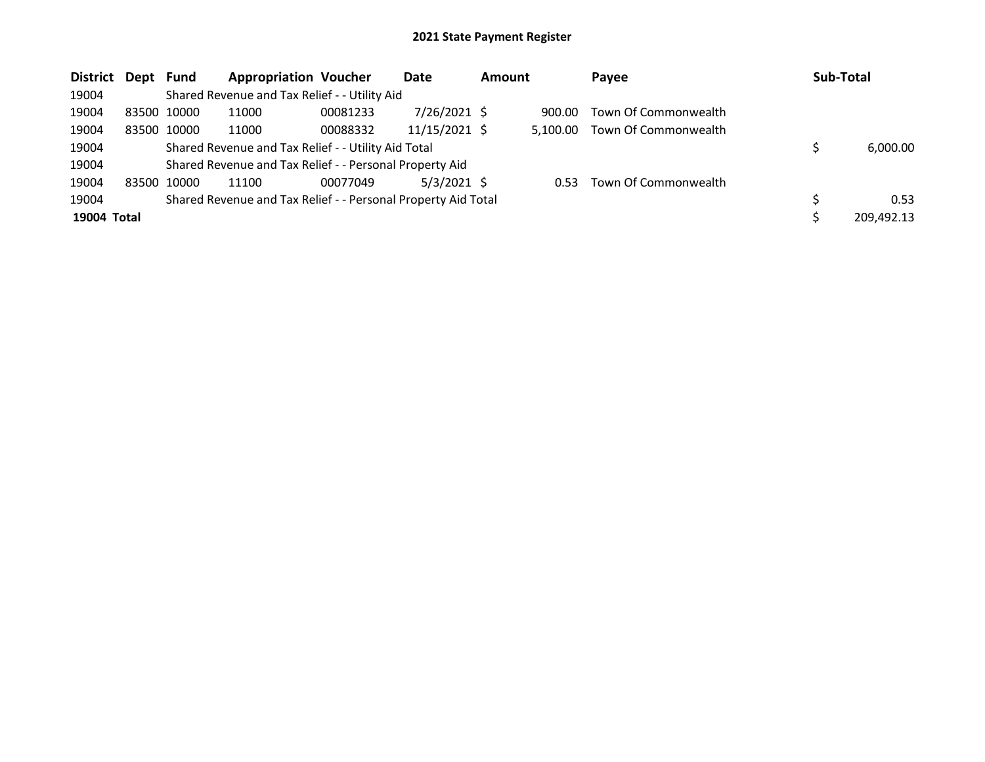| District Dept Fund |             | <b>Appropriation Voucher</b>                                  |          | Date           | <b>Amount</b> |          | Payee                | Sub-Total |            |
|--------------------|-------------|---------------------------------------------------------------|----------|----------------|---------------|----------|----------------------|-----------|------------|
| 19004              |             | Shared Revenue and Tax Relief - - Utility Aid                 |          |                |               |          |                      |           |            |
| 19004              | 83500 10000 | 11000                                                         | 00081233 | $7/26/2021$ \$ |               | 900.00   | Town Of Commonwealth |           |            |
| 19004              | 83500 10000 | 11000                                                         | 00088332 | 11/15/2021 \$  |               | 5.100.00 | Town Of Commonwealth |           |            |
| 19004              |             | Shared Revenue and Tax Relief - - Utility Aid Total           |          |                |               |          |                      |           | 6,000.00   |
| 19004              |             | Shared Revenue and Tax Relief - - Personal Property Aid       |          |                |               |          |                      |           |            |
| 19004              | 83500 10000 | 11100                                                         | 00077049 | $5/3/2021$ \$  |               | 0.53     | Town Of Commonwealth |           |            |
| 19004              |             | Shared Revenue and Tax Relief - - Personal Property Aid Total |          |                |               |          |                      |           | 0.53       |
| 19004 Total        |             |                                                               |          |                |               |          |                      |           | 209,492.13 |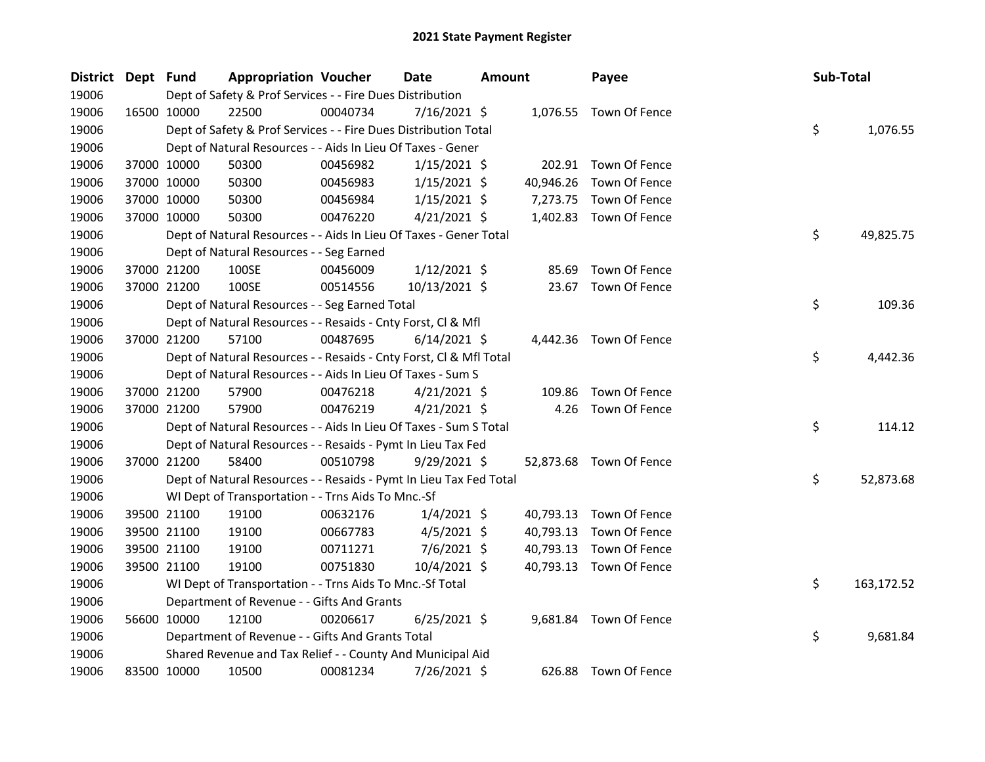| District Dept Fund |             |             | <b>Appropriation Voucher</b>                                       |          | <b>Date</b>    | <b>Amount</b> |           | Payee                   | Sub-Total |            |
|--------------------|-------------|-------------|--------------------------------------------------------------------|----------|----------------|---------------|-----------|-------------------------|-----------|------------|
| 19006              |             |             | Dept of Safety & Prof Services - - Fire Dues Distribution          |          |                |               |           |                         |           |            |
| 19006              |             | 16500 10000 | 22500                                                              | 00040734 | $7/16/2021$ \$ |               |           | 1,076.55 Town Of Fence  |           |            |
| 19006              |             |             | Dept of Safety & Prof Services - - Fire Dues Distribution Total    |          |                |               |           |                         | \$        | 1,076.55   |
| 19006              |             |             | Dept of Natural Resources - - Aids In Lieu Of Taxes - Gener        |          |                |               |           |                         |           |            |
| 19006              |             | 37000 10000 | 50300                                                              | 00456982 | $1/15/2021$ \$ |               |           | 202.91 Town Of Fence    |           |            |
| 19006              |             | 37000 10000 | 50300                                                              | 00456983 | $1/15/2021$ \$ |               | 40,946.26 | Town Of Fence           |           |            |
| 19006              |             | 37000 10000 | 50300                                                              | 00456984 | $1/15/2021$ \$ |               | 7,273.75  | Town Of Fence           |           |            |
| 19006              |             | 37000 10000 | 50300                                                              | 00476220 | 4/21/2021 \$   |               |           | 1,402.83 Town Of Fence  |           |            |
| 19006              |             |             | Dept of Natural Resources - - Aids In Lieu Of Taxes - Gener Total  |          |                |               |           |                         | \$        | 49,825.75  |
| 19006              |             |             | Dept of Natural Resources - - Seg Earned                           |          |                |               |           |                         |           |            |
| 19006              |             | 37000 21200 | 100SE                                                              | 00456009 | 1/12/2021 \$   |               | 85.69     | Town Of Fence           |           |            |
| 19006              |             | 37000 21200 | 100SE                                                              | 00514556 | 10/13/2021 \$  |               |           | 23.67 Town Of Fence     |           |            |
| 19006              |             |             | Dept of Natural Resources - - Seg Earned Total                     |          |                |               |           |                         | \$        | 109.36     |
| 19006              |             |             | Dept of Natural Resources - - Resaids - Cnty Forst, Cl & Mfl       |          |                |               |           |                         |           |            |
| 19006              | 37000 21200 |             | 57100                                                              | 00487695 | $6/14/2021$ \$ |               |           | 4,442.36 Town Of Fence  |           |            |
| 19006              |             |             | Dept of Natural Resources - - Resaids - Cnty Forst, Cl & Mfl Total |          |                |               |           |                         | \$        | 4,442.36   |
| 19006              |             |             | Dept of Natural Resources - - Aids In Lieu Of Taxes - Sum S        |          |                |               |           |                         |           |            |
| 19006              |             | 37000 21200 | 57900                                                              | 00476218 | $4/21/2021$ \$ |               | 109.86    | Town Of Fence           |           |            |
| 19006              |             | 37000 21200 | 57900                                                              | 00476219 | $4/21/2021$ \$ |               | 4.26      | Town Of Fence           |           |            |
| 19006              |             |             | Dept of Natural Resources - - Aids In Lieu Of Taxes - Sum S Total  |          |                |               |           |                         | \$        | 114.12     |
| 19006              |             |             | Dept of Natural Resources - - Resaids - Pymt In Lieu Tax Fed       |          |                |               |           |                         |           |            |
| 19006              |             | 37000 21200 | 58400                                                              | 00510798 | $9/29/2021$ \$ |               |           | 52,873.68 Town Of Fence |           |            |
| 19006              |             |             | Dept of Natural Resources - - Resaids - Pymt In Lieu Tax Fed Total |          |                |               |           |                         | \$        | 52,873.68  |
| 19006              |             |             | WI Dept of Transportation - - Trns Aids To Mnc.-Sf                 |          |                |               |           |                         |           |            |
| 19006              |             | 39500 21100 | 19100                                                              | 00632176 | $1/4/2021$ \$  |               | 40,793.13 | Town Of Fence           |           |            |
| 19006              |             | 39500 21100 | 19100                                                              | 00667783 | $4/5/2021$ \$  |               | 40,793.13 | Town Of Fence           |           |            |
| 19006              |             | 39500 21100 | 19100                                                              | 00711271 | 7/6/2021 \$    |               | 40,793.13 | Town Of Fence           |           |            |
| 19006              |             | 39500 21100 | 19100                                                              | 00751830 | 10/4/2021 \$   |               |           | 40,793.13 Town Of Fence |           |            |
| 19006              |             |             | WI Dept of Transportation - - Trns Aids To Mnc.-Sf Total           |          |                |               |           |                         | \$        | 163,172.52 |
| 19006              |             |             | Department of Revenue - - Gifts And Grants                         |          |                |               |           |                         |           |            |
| 19006              |             | 56600 10000 | 12100                                                              | 00206617 | $6/25/2021$ \$ |               |           | 9,681.84 Town Of Fence  |           |            |
| 19006              |             |             | Department of Revenue - - Gifts And Grants Total                   |          |                |               |           |                         | \$        | 9,681.84   |
| 19006              |             |             | Shared Revenue and Tax Relief - - County And Municipal Aid         |          |                |               |           |                         |           |            |
| 19006              |             | 83500 10000 | 10500                                                              | 00081234 | 7/26/2021 \$   |               |           | 626.88 Town Of Fence    |           |            |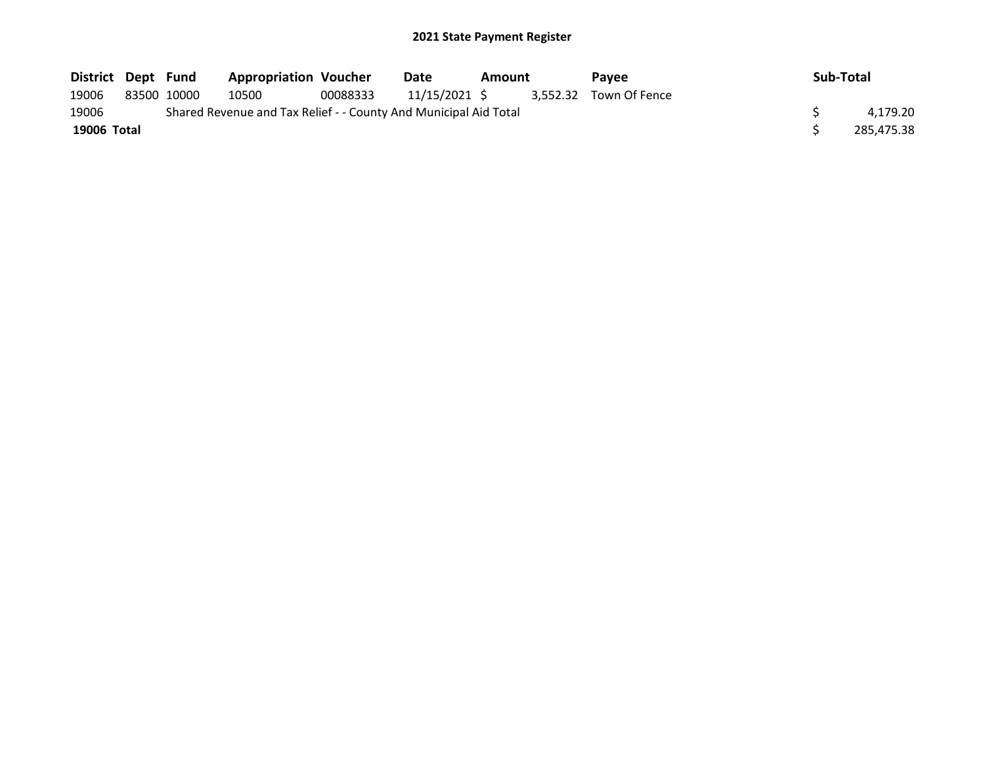| District Dept Fund |             | <b>Appropriation Voucher</b>                                     |          | Date          | Amount | Pavee                  | Sub-Total |            |
|--------------------|-------------|------------------------------------------------------------------|----------|---------------|--------|------------------------|-----------|------------|
| 19006              | 83500 10000 | 10500                                                            | 00088333 | 11/15/2021 \$ |        | 3.552.32 Town Of Fence |           |            |
| 19006              |             | Shared Revenue and Tax Relief - - County And Municipal Aid Total |          |               |        |                        |           | 4.179.20   |
| 19006 Total        |             |                                                                  |          |               |        |                        |           | 285.475.38 |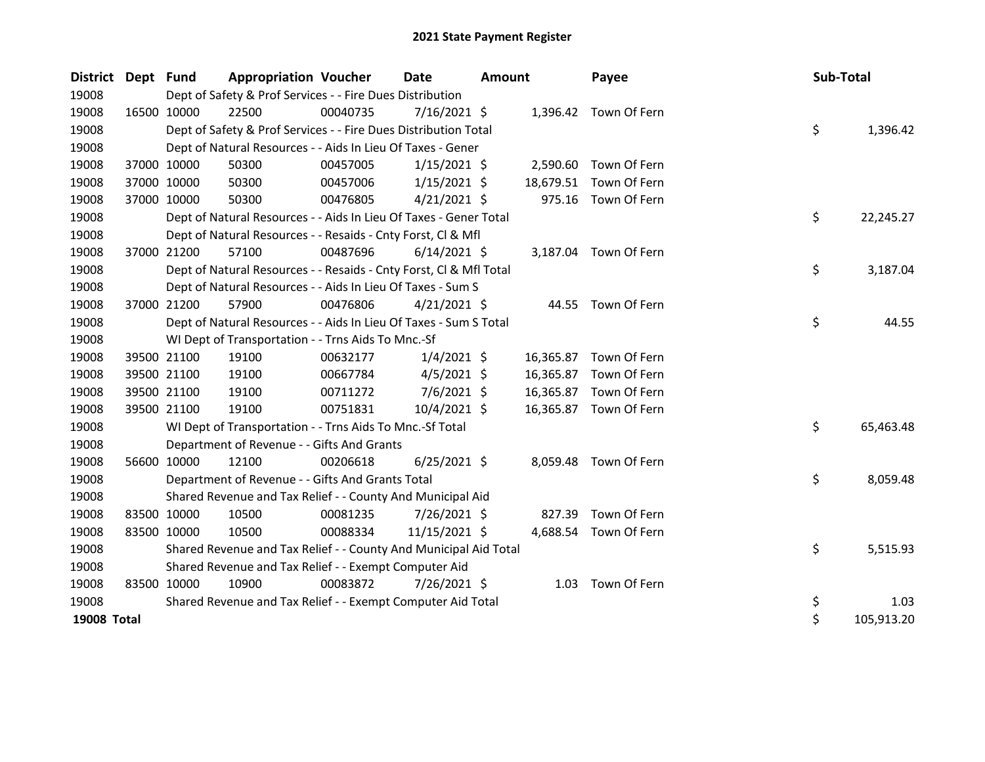| District Dept Fund |             | <b>Appropriation Voucher</b>                                       |          | <b>Date</b>    | <b>Amount</b> |           | Payee                  | Sub-Total |            |
|--------------------|-------------|--------------------------------------------------------------------|----------|----------------|---------------|-----------|------------------------|-----------|------------|
| 19008              |             | Dept of Safety & Prof Services - - Fire Dues Distribution          |          |                |               |           |                        |           |            |
| 19008              | 16500 10000 | 22500                                                              | 00040735 | $7/16/2021$ \$ |               |           | 1,396.42 Town Of Fern  |           |            |
| 19008              |             | Dept of Safety & Prof Services - - Fire Dues Distribution Total    |          |                |               |           |                        | \$        | 1,396.42   |
| 19008              |             | Dept of Natural Resources - - Aids In Lieu Of Taxes - Gener        |          |                |               |           |                        |           |            |
| 19008              | 37000 10000 | 50300                                                              | 00457005 | $1/15/2021$ \$ |               | 2,590.60  | Town Of Fern           |           |            |
| 19008              | 37000 10000 | 50300                                                              | 00457006 | $1/15/2021$ \$ |               | 18,679.51 | Town Of Fern           |           |            |
| 19008              | 37000 10000 | 50300                                                              | 00476805 | $4/21/2021$ \$ |               | 975.16    | Town Of Fern           |           |            |
| 19008              |             | Dept of Natural Resources - - Aids In Lieu Of Taxes - Gener Total  |          |                |               |           |                        | \$        | 22,245.27  |
| 19008              |             | Dept of Natural Resources - - Resaids - Cnty Forst, CI & Mfl       |          |                |               |           |                        |           |            |
| 19008              | 37000 21200 | 57100                                                              | 00487696 | $6/14/2021$ \$ |               |           | 3,187.04 Town Of Fern  |           |            |
| 19008              |             | Dept of Natural Resources - - Resaids - Cnty Forst, Cl & Mfl Total |          |                |               |           |                        | \$        | 3,187.04   |
| 19008              |             | Dept of Natural Resources - - Aids In Lieu Of Taxes - Sum S        |          |                |               |           |                        |           |            |
| 19008              | 37000 21200 | 57900                                                              | 00476806 | $4/21/2021$ \$ |               |           | 44.55 Town Of Fern     |           |            |
| 19008              |             | Dept of Natural Resources - - Aids In Lieu Of Taxes - Sum S Total  |          |                |               |           |                        | \$        | 44.55      |
| 19008              |             | WI Dept of Transportation - - Trns Aids To Mnc.-Sf                 |          |                |               |           |                        |           |            |
| 19008              | 39500 21100 | 19100                                                              | 00632177 | $1/4/2021$ \$  |               |           | 16,365.87 Town Of Fern |           |            |
| 19008              | 39500 21100 | 19100                                                              | 00667784 | $4/5/2021$ \$  |               | 16,365.87 | Town Of Fern           |           |            |
| 19008              | 39500 21100 | 19100                                                              | 00711272 | $7/6/2021$ \$  |               | 16,365.87 | Town Of Fern           |           |            |
| 19008              | 39500 21100 | 19100                                                              | 00751831 | 10/4/2021 \$   |               |           | 16,365.87 Town Of Fern |           |            |
| 19008              |             | WI Dept of Transportation - - Trns Aids To Mnc.-Sf Total           |          |                |               |           |                        | \$        | 65,463.48  |
| 19008              |             | Department of Revenue - - Gifts And Grants                         |          |                |               |           |                        |           |            |
| 19008              | 56600 10000 | 12100                                                              | 00206618 | $6/25/2021$ \$ |               |           | 8,059.48 Town Of Fern  |           |            |
| 19008              |             | Department of Revenue - - Gifts And Grants Total                   |          |                |               |           |                        | \$        | 8,059.48   |
| 19008              |             | Shared Revenue and Tax Relief - - County And Municipal Aid         |          |                |               |           |                        |           |            |
| 19008              | 83500 10000 | 10500                                                              | 00081235 | 7/26/2021 \$   |               | 827.39    | Town Of Fern           |           |            |
| 19008              | 83500 10000 | 10500                                                              | 00088334 | 11/15/2021 \$  |               |           | 4,688.54 Town Of Fern  |           |            |
| 19008              |             | Shared Revenue and Tax Relief - - County And Municipal Aid Total   |          |                |               |           |                        | \$        | 5,515.93   |
| 19008              |             | Shared Revenue and Tax Relief - - Exempt Computer Aid              |          |                |               |           |                        |           |            |
| 19008              | 83500 10000 | 10900                                                              | 00083872 | 7/26/2021 \$   |               |           | 1.03 Town Of Fern      |           |            |
| 19008              |             | Shared Revenue and Tax Relief - - Exempt Computer Aid Total        |          |                |               |           |                        | \$        | 1.03       |
| <b>19008 Total</b> |             |                                                                    |          |                |               |           |                        | \$        | 105,913.20 |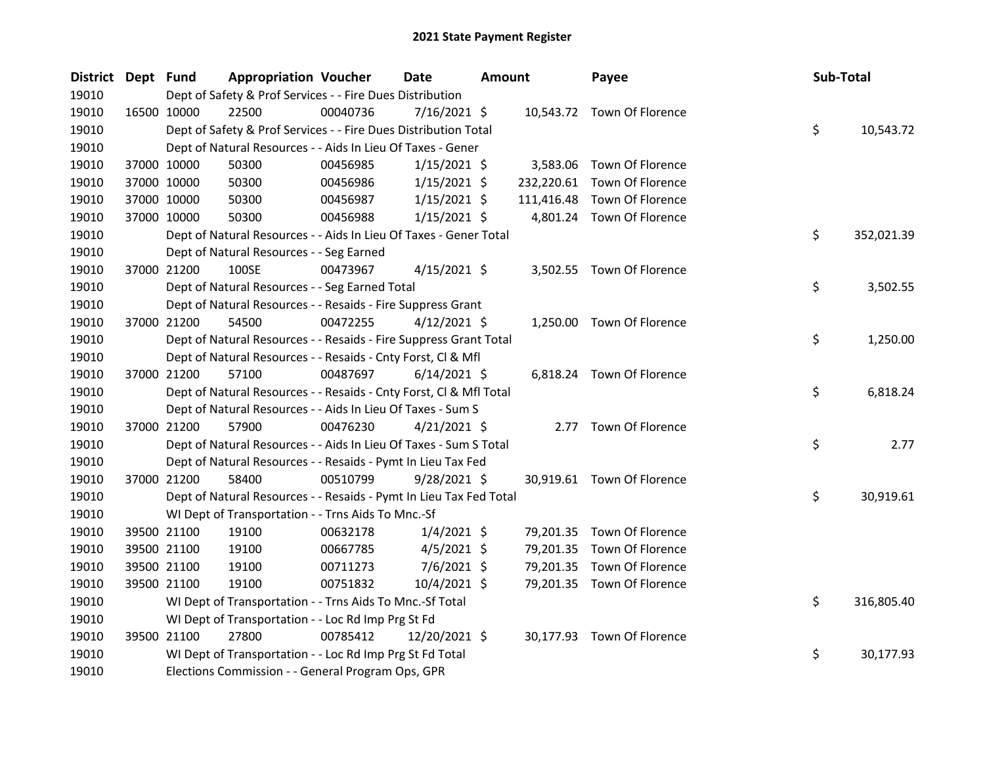| District Dept Fund |             | <b>Appropriation Voucher</b>                                       |          | Date           | <b>Amount</b> |            | Payee                       | Sub-Total |            |
|--------------------|-------------|--------------------------------------------------------------------|----------|----------------|---------------|------------|-----------------------------|-----------|------------|
| 19010              |             | Dept of Safety & Prof Services - - Fire Dues Distribution          |          |                |               |            |                             |           |            |
| 19010              | 16500 10000 | 22500                                                              | 00040736 | 7/16/2021 \$   |               |            | 10,543.72 Town Of Florence  |           |            |
| 19010              |             | Dept of Safety & Prof Services - - Fire Dues Distribution Total    |          |                |               |            |                             | \$        | 10,543.72  |
| 19010              |             | Dept of Natural Resources - - Aids In Lieu Of Taxes - Gener        |          |                |               |            |                             |           |            |
| 19010              | 37000 10000 | 50300                                                              | 00456985 | $1/15/2021$ \$ |               | 3,583.06   | Town Of Florence            |           |            |
| 19010              | 37000 10000 | 50300                                                              | 00456986 | $1/15/2021$ \$ |               |            | 232,220.61 Town Of Florence |           |            |
| 19010              | 37000 10000 | 50300                                                              | 00456987 | $1/15/2021$ \$ |               | 111,416.48 | Town Of Florence            |           |            |
| 19010              | 37000 10000 | 50300                                                              | 00456988 | $1/15/2021$ \$ |               |            | 4,801.24 Town Of Florence   |           |            |
| 19010              |             | Dept of Natural Resources - - Aids In Lieu Of Taxes - Gener Total  |          |                |               |            |                             | \$        | 352,021.39 |
| 19010              |             | Dept of Natural Resources - - Seg Earned                           |          |                |               |            |                             |           |            |
| 19010              | 37000 21200 | 100SE                                                              | 00473967 | $4/15/2021$ \$ |               |            | 3,502.55 Town Of Florence   |           |            |
| 19010              |             | Dept of Natural Resources - - Seg Earned Total                     |          |                |               |            |                             | \$        | 3,502.55   |
| 19010              |             | Dept of Natural Resources - - Resaids - Fire Suppress Grant        |          |                |               |            |                             |           |            |
| 19010              | 37000 21200 | 54500                                                              | 00472255 | $4/12/2021$ \$ |               |            | 1,250.00 Town Of Florence   |           |            |
| 19010              |             | Dept of Natural Resources - - Resaids - Fire Suppress Grant Total  |          |                |               |            |                             | \$        | 1,250.00   |
| 19010              |             | Dept of Natural Resources - - Resaids - Cnty Forst, Cl & Mfl       |          |                |               |            |                             |           |            |
| 19010              | 37000 21200 | 57100                                                              | 00487697 | $6/14/2021$ \$ |               |            | 6,818.24 Town Of Florence   |           |            |
| 19010              |             | Dept of Natural Resources - - Resaids - Cnty Forst, Cl & Mfl Total |          |                |               |            |                             | \$        | 6,818.24   |
| 19010              |             | Dept of Natural Resources - - Aids In Lieu Of Taxes - Sum S        |          |                |               |            |                             |           |            |
| 19010              | 37000 21200 | 57900                                                              | 00476230 | $4/21/2021$ \$ |               |            | 2.77 Town Of Florence       |           |            |
| 19010              |             | Dept of Natural Resources - - Aids In Lieu Of Taxes - Sum S Total  |          |                |               |            |                             | \$        | 2.77       |
| 19010              |             | Dept of Natural Resources - - Resaids - Pymt In Lieu Tax Fed       |          |                |               |            |                             |           |            |
| 19010              | 37000 21200 | 58400                                                              | 00510799 | $9/28/2021$ \$ |               |            | 30,919.61 Town Of Florence  |           |            |
| 19010              |             | Dept of Natural Resources - - Resaids - Pymt In Lieu Tax Fed Total |          |                |               |            |                             | \$        | 30,919.61  |
| 19010              |             | WI Dept of Transportation - - Trns Aids To Mnc.-Sf                 |          |                |               |            |                             |           |            |
| 19010              | 39500 21100 | 19100                                                              | 00632178 | $1/4/2021$ \$  |               |            | 79,201.35 Town Of Florence  |           |            |
| 19010              | 39500 21100 | 19100                                                              | 00667785 | $4/5/2021$ \$  |               | 79,201.35  | Town Of Florence            |           |            |
| 19010              | 39500 21100 | 19100                                                              | 00711273 | 7/6/2021 \$    |               | 79,201.35  | Town Of Florence            |           |            |
| 19010              | 39500 21100 | 19100                                                              | 00751832 | 10/4/2021 \$   |               |            | 79,201.35 Town Of Florence  |           |            |
| 19010              |             | WI Dept of Transportation - - Trns Aids To Mnc.-Sf Total           |          |                |               |            |                             | \$        | 316,805.40 |
| 19010              |             | WI Dept of Transportation - - Loc Rd Imp Prg St Fd                 |          |                |               |            |                             |           |            |
| 19010              | 39500 21100 | 27800                                                              | 00785412 | 12/20/2021 \$  |               |            | 30,177.93 Town Of Florence  |           |            |
| 19010              |             | WI Dept of Transportation - - Loc Rd Imp Prg St Fd Total           |          |                |               |            |                             | \$        | 30,177.93  |
| 19010              |             | Elections Commission - - General Program Ops, GPR                  |          |                |               |            |                             |           |            |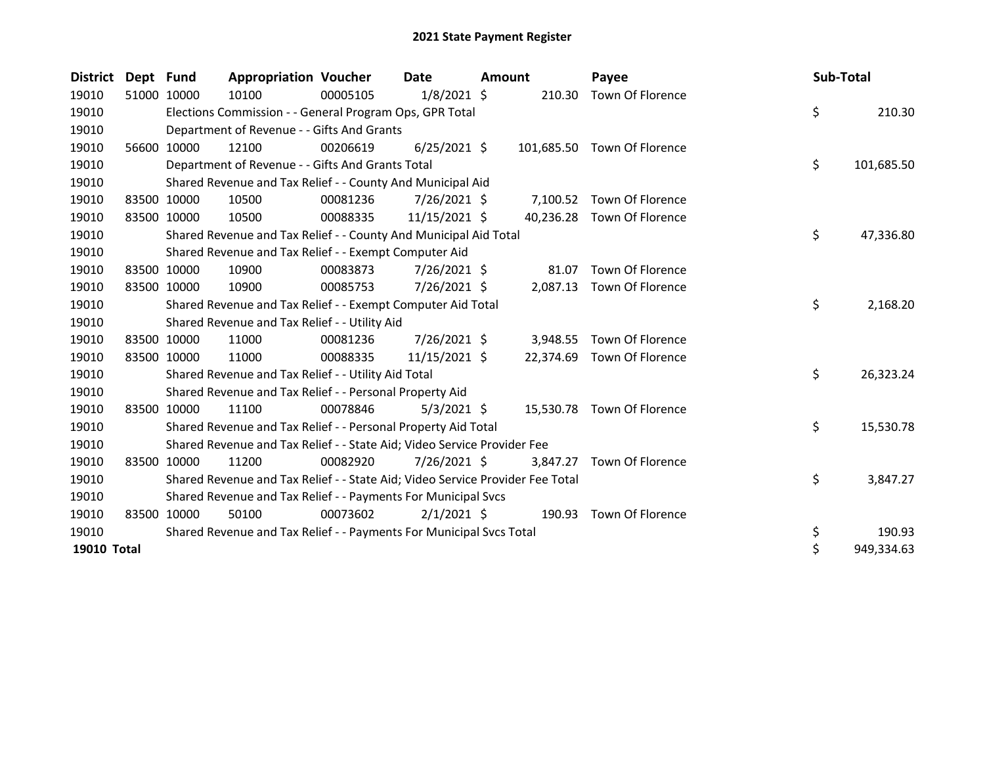| <b>District</b> | Dept Fund   |       | <b>Appropriation Voucher</b>                                                  |          | Date           | Amount |           | Payee                       | Sub-Total |            |
|-----------------|-------------|-------|-------------------------------------------------------------------------------|----------|----------------|--------|-----------|-----------------------------|-----------|------------|
| 19010           | 51000 10000 |       | 10100                                                                         | 00005105 | $1/8/2021$ \$  |        | 210.30    | Town Of Florence            |           |            |
| 19010           |             |       | Elections Commission - - General Program Ops, GPR Total                       |          |                |        |           |                             | \$        | 210.30     |
| 19010           |             |       | Department of Revenue - - Gifts And Grants                                    |          |                |        |           |                             |           |            |
| 19010           | 56600       | 10000 | 12100                                                                         | 00206619 | $6/25/2021$ \$ |        |           | 101,685.50 Town Of Florence |           |            |
| 19010           |             |       | Department of Revenue - - Gifts And Grants Total                              |          |                |        |           |                             | \$        | 101,685.50 |
| 19010           |             |       | Shared Revenue and Tax Relief - - County And Municipal Aid                    |          |                |        |           |                             |           |            |
| 19010           | 83500 10000 |       | 10500                                                                         | 00081236 | $7/26/2021$ \$ |        |           | 7,100.52 Town Of Florence   |           |            |
| 19010           | 83500 10000 |       | 10500                                                                         | 00088335 | 11/15/2021 \$  |        |           | 40,236.28 Town Of Florence  |           |            |
| 19010           |             |       | Shared Revenue and Tax Relief - - County And Municipal Aid Total              |          |                |        |           |                             | \$        | 47,336.80  |
| 19010           |             |       | Shared Revenue and Tax Relief - - Exempt Computer Aid                         |          |                |        |           |                             |           |            |
| 19010           | 83500 10000 |       | 10900                                                                         | 00083873 | 7/26/2021 \$   |        | 81.07     | Town Of Florence            |           |            |
| 19010           | 83500 10000 |       | 10900                                                                         | 00085753 | 7/26/2021 \$   |        |           | 2,087.13 Town Of Florence   |           |            |
| 19010           |             |       | Shared Revenue and Tax Relief - - Exempt Computer Aid Total                   |          |                |        |           |                             | \$        | 2,168.20   |
| 19010           |             |       | Shared Revenue and Tax Relief - - Utility Aid                                 |          |                |        |           |                             |           |            |
| 19010           | 83500 10000 |       | 11000                                                                         | 00081236 | $7/26/2021$ \$ |        | 3,948.55  | Town Of Florence            |           |            |
| 19010           | 83500 10000 |       | 11000                                                                         | 00088335 | 11/15/2021 \$  |        | 22,374.69 | Town Of Florence            |           |            |
| 19010           |             |       | Shared Revenue and Tax Relief - - Utility Aid Total                           |          |                |        |           |                             | \$        | 26,323.24  |
| 19010           |             |       | Shared Revenue and Tax Relief - - Personal Property Aid                       |          |                |        |           |                             |           |            |
| 19010           | 83500       | 10000 | 11100                                                                         | 00078846 | $5/3/2021$ \$  |        | 15,530.78 | Town Of Florence            |           |            |
| 19010           |             |       | Shared Revenue and Tax Relief - - Personal Property Aid Total                 |          |                |        |           |                             | \$        | 15,530.78  |
| 19010           |             |       | Shared Revenue and Tax Relief - - State Aid; Video Service Provider Fee       |          |                |        |           |                             |           |            |
| 19010           | 83500       | 10000 | 11200                                                                         | 00082920 | $7/26/2021$ \$ |        | 3,847.27  | Town Of Florence            |           |            |
| 19010           |             |       | Shared Revenue and Tax Relief - - State Aid; Video Service Provider Fee Total |          |                |        |           |                             | \$        | 3,847.27   |
| 19010           |             |       | Shared Revenue and Tax Relief - - Payments For Municipal Svcs                 |          |                |        |           |                             |           |            |
| 19010           | 83500       | 10000 | 50100                                                                         | 00073602 | $2/1/2021$ \$  |        | 190.93    | Town Of Florence            |           |            |
| 19010           |             |       | Shared Revenue and Tax Relief - - Payments For Municipal Svcs Total           |          |                |        |           |                             | \$        | 190.93     |
| 19010 Total     |             |       |                                                                               |          |                |        |           |                             | \$        | 949,334.63 |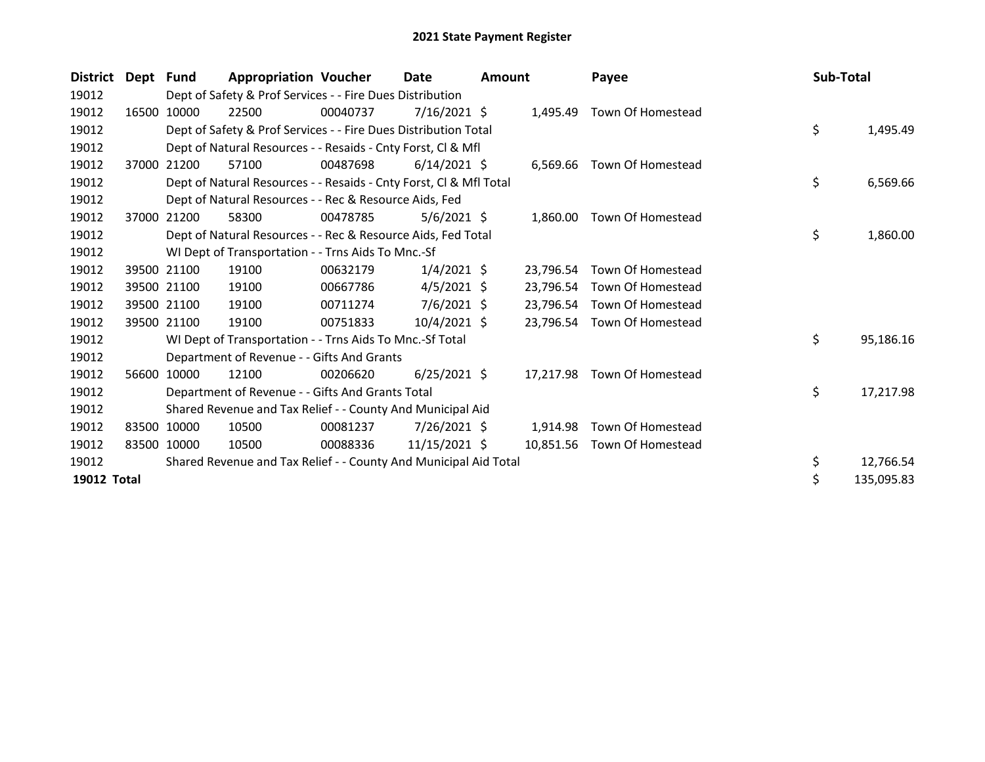| <b>District</b>    | Dept Fund |             | <b>Appropriation Voucher</b>                                       |          | <b>Date</b>    | Amount |           | Payee                       | Sub-Total |            |
|--------------------|-----------|-------------|--------------------------------------------------------------------|----------|----------------|--------|-----------|-----------------------------|-----------|------------|
| 19012              |           |             | Dept of Safety & Prof Services - - Fire Dues Distribution          |          |                |        |           |                             |           |            |
| 19012              | 16500     | 10000       | 22500                                                              | 00040737 | $7/16/2021$ \$ |        | 1.495.49  | Town Of Homestead           |           |            |
| 19012              |           |             | Dept of Safety & Prof Services - - Fire Dues Distribution Total    |          |                |        |           |                             | \$        | 1,495.49   |
| 19012              |           |             | Dept of Natural Resources - - Resaids - Cnty Forst, CI & Mfl       |          |                |        |           |                             |           |            |
| 19012              | 37000     | 21200       | 57100                                                              | 00487698 | $6/14/2021$ \$ |        |           | 6,569.66 Town Of Homestead  |           |            |
| 19012              |           |             | Dept of Natural Resources - - Resaids - Cnty Forst, CI & Mfl Total |          |                |        |           |                             | \$        | 6,569.66   |
| 19012              |           |             | Dept of Natural Resources - - Rec & Resource Aids, Fed             |          |                |        |           |                             |           |            |
| 19012              | 37000     | 21200       | 58300                                                              | 00478785 | $5/6/2021$ \$  |        | 1,860.00  | Town Of Homestead           |           |            |
| 19012              |           |             | Dept of Natural Resources - - Rec & Resource Aids, Fed Total       |          |                |        |           |                             | \$        | 1,860.00   |
| 19012              |           |             | WI Dept of Transportation - - Trns Aids To Mnc.-Sf                 |          |                |        |           |                             |           |            |
| 19012              |           | 39500 21100 | 19100                                                              | 00632179 | $1/4/2021$ \$  |        | 23.796.54 | Town Of Homestead           |           |            |
| 19012              |           | 39500 21100 | 19100                                                              | 00667786 | $4/5/2021$ \$  |        | 23,796.54 | Town Of Homestead           |           |            |
| 19012              |           | 39500 21100 | 19100                                                              | 00711274 | $7/6/2021$ \$  |        | 23,796.54 | Town Of Homestead           |           |            |
| 19012              |           | 39500 21100 | 19100                                                              | 00751833 | $10/4/2021$ \$ |        |           | 23,796.54 Town Of Homestead |           |            |
| 19012              |           |             | WI Dept of Transportation - - Trns Aids To Mnc.-Sf Total           |          |                |        |           |                             | \$        | 95,186.16  |
| 19012              |           |             | Department of Revenue - - Gifts And Grants                         |          |                |        |           |                             |           |            |
| 19012              | 56600     | 10000       | 12100                                                              | 00206620 | $6/25/2021$ \$ |        |           | 17,217.98 Town Of Homestead |           |            |
| 19012              |           |             | Department of Revenue - - Gifts And Grants Total                   |          |                |        |           |                             | \$        | 17,217.98  |
| 19012              |           |             | Shared Revenue and Tax Relief - - County And Municipal Aid         |          |                |        |           |                             |           |            |
| 19012              |           | 83500 10000 | 10500                                                              | 00081237 | $7/26/2021$ \$ |        | 1,914.98  | Town Of Homestead           |           |            |
| 19012              |           | 83500 10000 | 10500                                                              | 00088336 | 11/15/2021 \$  |        |           | 10,851.56 Town Of Homestead |           |            |
| 19012              |           |             | Shared Revenue and Tax Relief - - County And Municipal Aid Total   |          |                |        |           |                             | \$        | 12,766.54  |
| <b>19012 Total</b> |           |             |                                                                    |          |                |        |           |                             | \$        | 135,095.83 |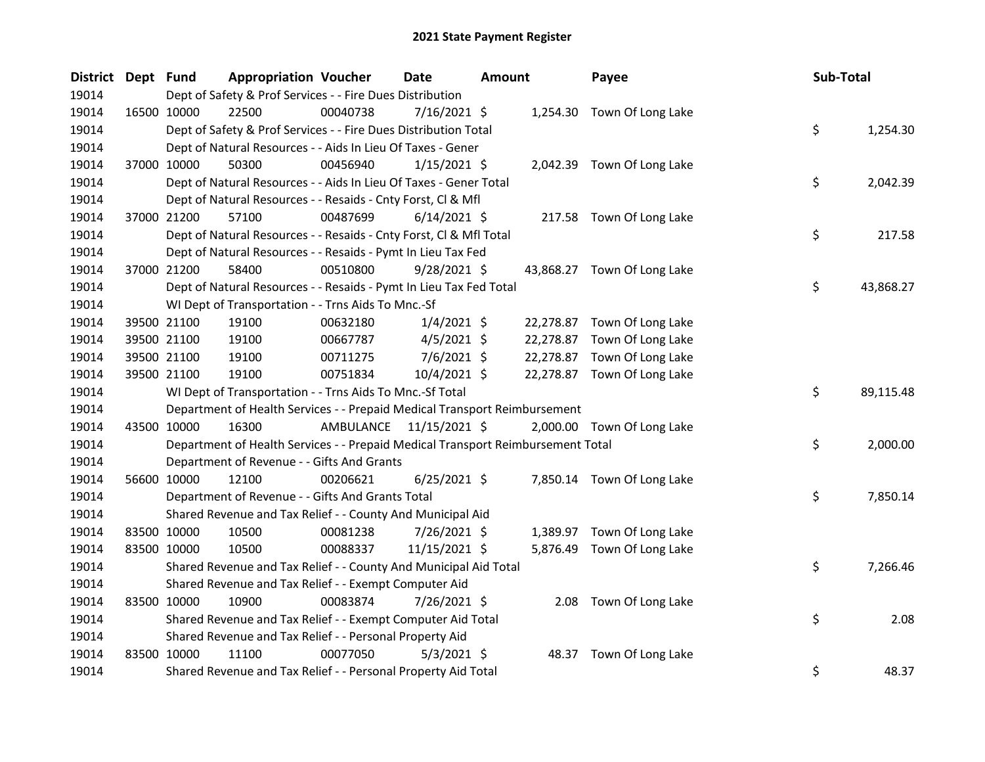| District Dept Fund |                                                                           | <b>Appropriation Voucher</b>                                                                      |                         | Date           | <b>Amount</b> |  | Payee                       |  | Sub-Total |           |  |
|--------------------|---------------------------------------------------------------------------|---------------------------------------------------------------------------------------------------|-------------------------|----------------|---------------|--|-----------------------------|--|-----------|-----------|--|
| 19014              | Dept of Safety & Prof Services - - Fire Dues Distribution                 |                                                                                                   |                         |                |               |  |                             |  |           |           |  |
| 19014              | 16500 10000                                                               | 22500                                                                                             | 00040738                | 7/16/2021 \$   |               |  | 1,254.30 Town Of Long Lake  |  |           |           |  |
| 19014              | \$<br>Dept of Safety & Prof Services - - Fire Dues Distribution Total     |                                                                                                   |                         |                |               |  |                             |  |           | 1,254.30  |  |
| 19014              | Dept of Natural Resources - - Aids In Lieu Of Taxes - Gener               |                                                                                                   |                         |                |               |  |                             |  |           |           |  |
| 19014              | 37000 10000                                                               | 50300                                                                                             | 00456940                | $1/15/2021$ \$ |               |  | 2,042.39 Town Of Long Lake  |  |           |           |  |
| 19014              | \$<br>Dept of Natural Resources - - Aids In Lieu Of Taxes - Gener Total   |                                                                                                   |                         |                |               |  |                             |  |           | 2,042.39  |  |
| 19014              |                                                                           | Dept of Natural Resources - - Resaids - Cnty Forst, Cl & Mfl                                      |                         |                |               |  |                             |  |           |           |  |
| 19014              | 37000 21200                                                               | 57100                                                                                             | 00487699                | $6/14/2021$ \$ |               |  | 217.58 Town Of Long Lake    |  |           |           |  |
| 19014              |                                                                           | \$<br>Dept of Natural Resources - - Resaids - Cnty Forst, CI & Mfl Total<br>217.58                |                         |                |               |  |                             |  |           |           |  |
| 19014              | Dept of Natural Resources - - Resaids - Pymt In Lieu Tax Fed              |                                                                                                   |                         |                |               |  |                             |  |           |           |  |
| 19014              | 37000 21200                                                               | 58400                                                                                             | 00510800                | $9/28/2021$ \$ |               |  | 43,868.27 Town Of Long Lake |  |           |           |  |
| 19014              |                                                                           | Dept of Natural Resources - - Resaids - Pymt In Lieu Tax Fed Total                                |                         |                |               |  |                             |  | \$        | 43,868.27 |  |
| 19014              |                                                                           | WI Dept of Transportation - - Trns Aids To Mnc.-Sf                                                |                         |                |               |  |                             |  |           |           |  |
| 19014              | 39500 21100                                                               | 19100                                                                                             | 00632180                | $1/4/2021$ \$  |               |  | 22,278.87 Town Of Long Lake |  |           |           |  |
| 19014              | 39500 21100                                                               | 19100                                                                                             | 00667787                | $4/5/2021$ \$  |               |  | 22,278.87 Town Of Long Lake |  |           |           |  |
| 19014              | 39500 21100                                                               | 19100                                                                                             | 00711275                | $7/6/2021$ \$  |               |  | 22,278.87 Town Of Long Lake |  |           |           |  |
| 19014              | 39500 21100                                                               | 19100                                                                                             | 00751834                | 10/4/2021 \$   |               |  | 22,278.87 Town Of Long Lake |  |           |           |  |
| 19014              |                                                                           | WI Dept of Transportation - - Trns Aids To Mnc.-Sf Total                                          |                         |                |               |  |                             |  | \$        | 89,115.48 |  |
| 19014              | Department of Health Services - - Prepaid Medical Transport Reimbursement |                                                                                                   |                         |                |               |  |                             |  |           |           |  |
| 19014              | 43500 10000                                                               | 16300                                                                                             | AMBULANCE 11/15/2021 \$ |                |               |  | 2,000.00 Town Of Long Lake  |  |           |           |  |
| 19014              |                                                                           | \$<br>Department of Health Services - - Prepaid Medical Transport Reimbursement Total<br>2,000.00 |                         |                |               |  |                             |  |           |           |  |
| 19014              | Department of Revenue - - Gifts And Grants                                |                                                                                                   |                         |                |               |  |                             |  |           |           |  |
| 19014              | 56600 10000                                                               | 12100                                                                                             | 00206621                | $6/25/2021$ \$ |               |  | 7,850.14 Town Of Long Lake  |  |           |           |  |
| 19014              | \$<br>Department of Revenue - - Gifts And Grants Total                    |                                                                                                   |                         |                |               |  |                             |  | 7,850.14  |           |  |
| 19014              | Shared Revenue and Tax Relief - - County And Municipal Aid                |                                                                                                   |                         |                |               |  |                             |  |           |           |  |
| 19014              | 83500 10000                                                               | 10500                                                                                             | 00081238                | 7/26/2021 \$   |               |  | 1,389.97 Town Of Long Lake  |  |           |           |  |
| 19014              | 83500 10000                                                               | 10500                                                                                             | 00088337                | 11/15/2021 \$  |               |  | 5,876.49 Town Of Long Lake  |  |           |           |  |
| 19014              | Shared Revenue and Tax Relief - - County And Municipal Aid Total          |                                                                                                   |                         |                |               |  |                             |  | \$        | 7,266.46  |  |
| 19014              | Shared Revenue and Tax Relief - - Exempt Computer Aid                     |                                                                                                   |                         |                |               |  |                             |  |           |           |  |
| 19014              | 83500 10000                                                               | 10900                                                                                             | 00083874                | 7/26/2021 \$   |               |  | 2.08 Town Of Long Lake      |  |           |           |  |
| 19014              | \$<br>Shared Revenue and Tax Relief - - Exempt Computer Aid Total         |                                                                                                   |                         |                |               |  |                             |  | 2.08      |           |  |
| 19014              | Shared Revenue and Tax Relief - - Personal Property Aid                   |                                                                                                   |                         |                |               |  |                             |  |           |           |  |
| 19014              | 83500 10000                                                               | 11100                                                                                             | 00077050                | $5/3/2021$ \$  |               |  | 48.37 Town Of Long Lake     |  |           |           |  |
| 19014              | \$<br>Shared Revenue and Tax Relief - - Personal Property Aid Total       |                                                                                                   |                         |                |               |  |                             |  | 48.37     |           |  |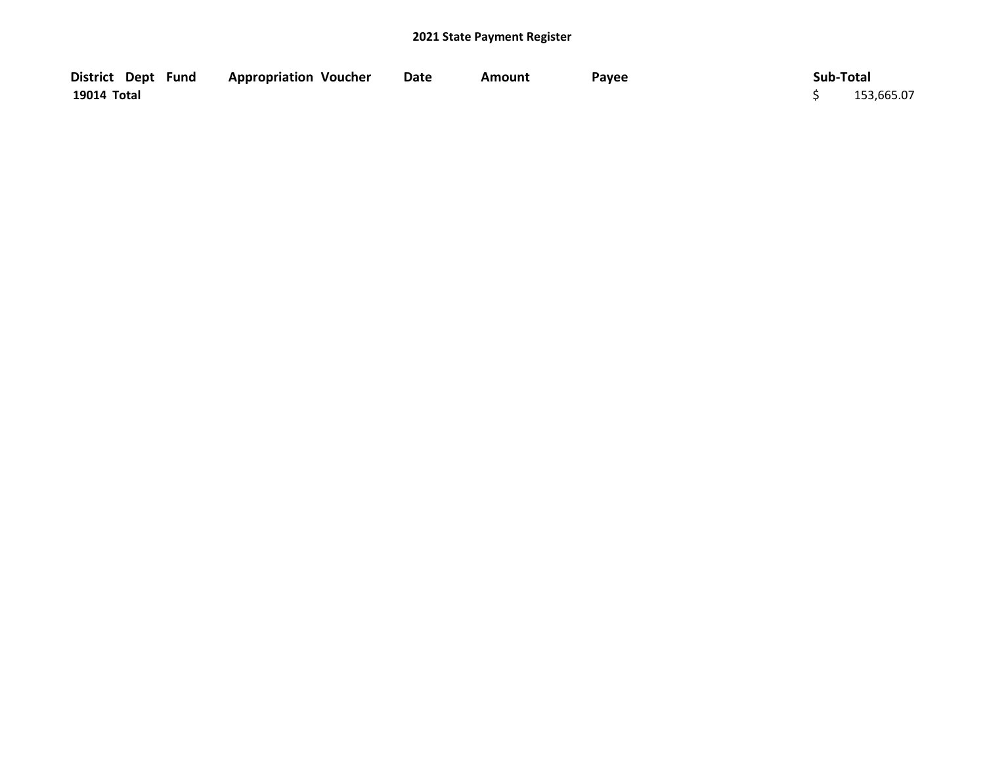| District Dept Fund | <b>Appropriation Voucher</b> | Date | Amount | Payee | Sub-Total  |
|--------------------|------------------------------|------|--------|-------|------------|
| 19014 Total        |                              |      |        |       | 153,665.07 |